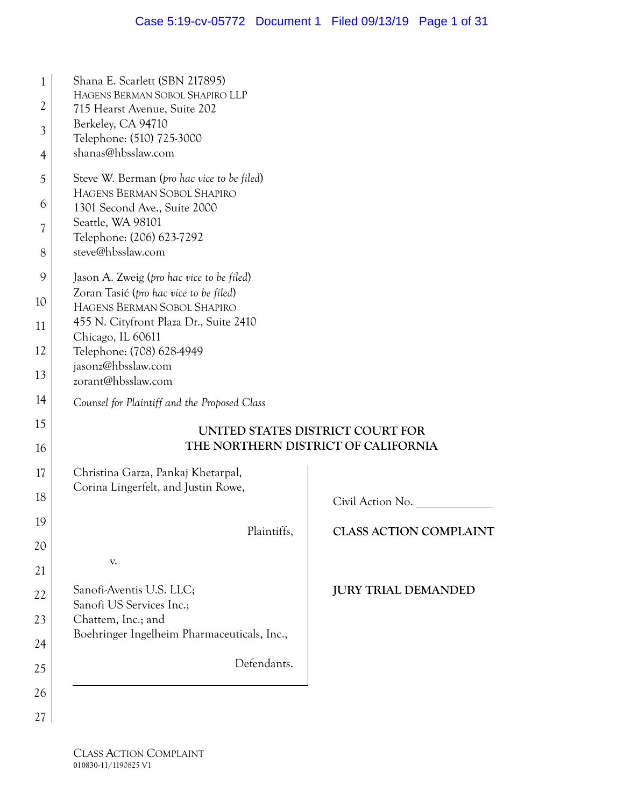| Shana E. Scarlett (SBN 217895)                                                      |                                     |  |  |
|-------------------------------------------------------------------------------------|-------------------------------------|--|--|
| HAGENS BERMAN SOBOL SHAPIRO LLP<br>715 Hearst Avenue, Suite 202                     |                                     |  |  |
| Berkeley, CA 94710                                                                  |                                     |  |  |
| Telephone: (510) 725-3000<br>shanas@hbsslaw.com                                     |                                     |  |  |
| Steve W. Berman (pro hac vice to be filed)                                          |                                     |  |  |
| HAGENS BERMAN SOBOL SHAPIRO                                                         |                                     |  |  |
| 1301 Second Ave., Suite 2000<br>Seattle, WA 98101                                   |                                     |  |  |
| Telephone: (206) 623-7292                                                           |                                     |  |  |
| steve@hbsslaw.com                                                                   |                                     |  |  |
| Jason A. Zweig (pro hac vice to be filed)<br>Zoran Tasić (pro hac vice to be filed) |                                     |  |  |
| HAGENS BERMAN SOBOL SHAPIRO                                                         |                                     |  |  |
| 455 N. Cityfront Plaza Dr., Suite 2410<br>Chicago, IL 60611                         |                                     |  |  |
| Telephone: (708) 628-4949                                                           |                                     |  |  |
| jasonz@hbsslaw.com<br>zorant@hbsslaw.com                                            |                                     |  |  |
| Counsel for Plaintiff and the Proposed Class                                        |                                     |  |  |
|                                                                                     | UNITED STATES DISTRICT COURT FOR    |  |  |
|                                                                                     | THE NORTHERN DISTRICT OF CALIFORNIA |  |  |
| Christina Garza, Pankaj Khetarpal,                                                  |                                     |  |  |
| Corina Lingerfelt, and Justin Rowe,                                                 | Civil Action No.                    |  |  |
|                                                                                     |                                     |  |  |
| Plaintiffs,                                                                         | <b>CLASS ACTION COMPLAINT</b>       |  |  |
| V.                                                                                  |                                     |  |  |
| Sanofi-Aventis U.S. LLC;                                                            | <b>JURY TRIAL DEMANDED</b>          |  |  |
| Sanofi US Services Inc.;<br>Chattem, Inc.; and                                      |                                     |  |  |
| Boehringer Ingelheim Pharmaceuticals, Inc.,                                         |                                     |  |  |
|                                                                                     |                                     |  |  |
| Defendants.                                                                         |                                     |  |  |
|                                                                                     |                                     |  |  |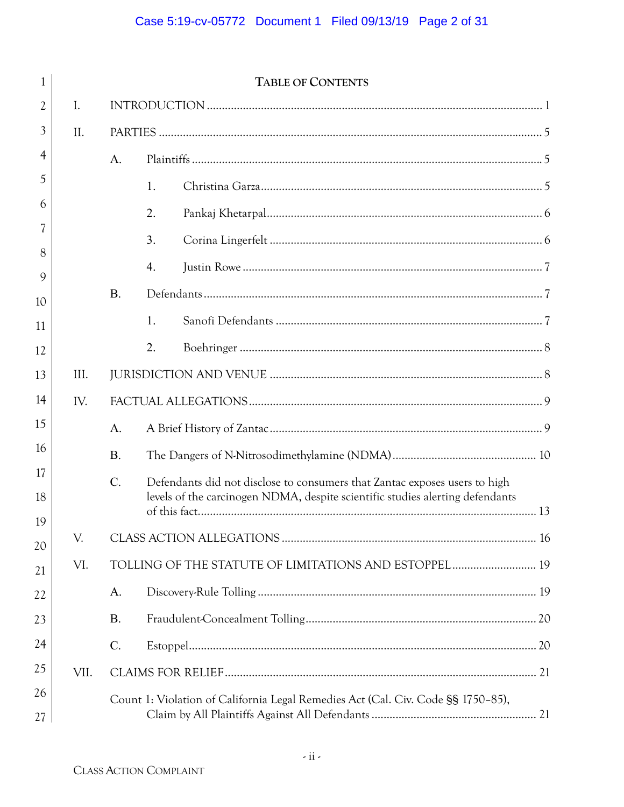| 1           |      |                 | <b>TABLE OF CONTENTS</b>                                                         |  |
|-------------|------|-----------------|----------------------------------------------------------------------------------|--|
| 2           | I.   |                 |                                                                                  |  |
| 3           | II.  |                 |                                                                                  |  |
| 4           |      | A.              |                                                                                  |  |
| 5           |      |                 | 1.                                                                               |  |
| 6           |      |                 | 2.                                                                               |  |
| 7           |      |                 | 3.                                                                               |  |
| 8           |      |                 | 4.                                                                               |  |
| $\mathbf Q$ |      |                 |                                                                                  |  |
| 10          |      | <b>B.</b>       |                                                                                  |  |
| 11          |      |                 | 1.                                                                               |  |
| 12          |      |                 | 2.                                                                               |  |
| 13          | III. |                 |                                                                                  |  |
| 14          | IV.  |                 |                                                                                  |  |
| 15          |      | A.              |                                                                                  |  |
| 16          |      | <b>B.</b>       |                                                                                  |  |
| 17          |      | $\mathcal{C}$ . | Defendants did not disclose to consumers that Zantac exposes users to high       |  |
| 18          |      |                 | levels of the carcinogen NDMA, despite scientific studies alerting defendants    |  |
| 19          |      |                 |                                                                                  |  |
| 20          | V.   |                 |                                                                                  |  |
| 21          | VI.  |                 | TOLLING OF THE STATUTE OF LIMITATIONS AND ESTOPPEL 19                            |  |
| 22          |      | A.              |                                                                                  |  |
| 23          |      | <b>B.</b>       |                                                                                  |  |
| 24          |      | $C$ .           |                                                                                  |  |
| 25          | VII. |                 |                                                                                  |  |
| 26          |      |                 | Count 1: Violation of California Legal Remedies Act (Cal. Civ. Code §§ 1750-85), |  |
| 27          |      |                 |                                                                                  |  |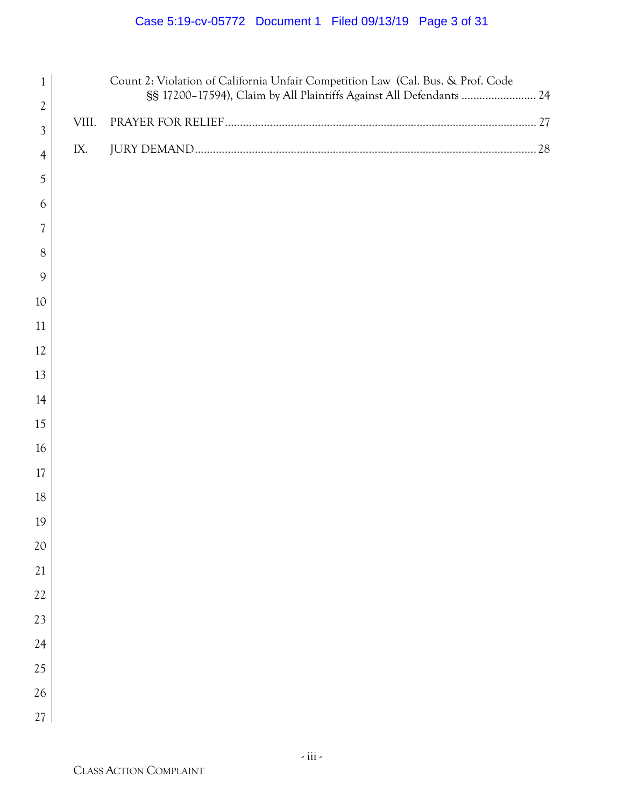# Case 5:19-cv-05772 Document 1 Filed 09/13/19 Page 3 of 31

| $\mathfrak{2}$<br>VIII.<br>$\mathfrak{Z}$<br>IX.<br>$\overline{4}$<br>5<br>6<br>7<br>$8\phantom{1}$<br>9<br>10<br>11<br>12<br>14<br>16<br>17<br>$18\,$<br>19<br>21<br>24<br>25<br>26<br>27 | $\mathbf{1}$ | Count 2: Violation of California Unfair Competition Law (Cal. Bus. & Prof. Code<br>§§ 17200-17594), Claim by All Plaintiffs Against All Defendants  24 |  |
|--------------------------------------------------------------------------------------------------------------------------------------------------------------------------------------------|--------------|--------------------------------------------------------------------------------------------------------------------------------------------------------|--|
|                                                                                                                                                                                            |              |                                                                                                                                                        |  |
|                                                                                                                                                                                            |              |                                                                                                                                                        |  |
|                                                                                                                                                                                            |              |                                                                                                                                                        |  |
|                                                                                                                                                                                            |              |                                                                                                                                                        |  |
|                                                                                                                                                                                            |              |                                                                                                                                                        |  |
|                                                                                                                                                                                            |              |                                                                                                                                                        |  |
|                                                                                                                                                                                            |              |                                                                                                                                                        |  |
|                                                                                                                                                                                            |              |                                                                                                                                                        |  |
|                                                                                                                                                                                            |              |                                                                                                                                                        |  |
|                                                                                                                                                                                            |              |                                                                                                                                                        |  |
|                                                                                                                                                                                            |              |                                                                                                                                                        |  |
|                                                                                                                                                                                            | 13           |                                                                                                                                                        |  |
|                                                                                                                                                                                            |              |                                                                                                                                                        |  |
|                                                                                                                                                                                            | 15           |                                                                                                                                                        |  |
|                                                                                                                                                                                            |              |                                                                                                                                                        |  |
|                                                                                                                                                                                            |              |                                                                                                                                                        |  |
|                                                                                                                                                                                            |              |                                                                                                                                                        |  |
|                                                                                                                                                                                            |              |                                                                                                                                                        |  |
|                                                                                                                                                                                            | $20\,$       |                                                                                                                                                        |  |
|                                                                                                                                                                                            |              |                                                                                                                                                        |  |
|                                                                                                                                                                                            | $22\,$       |                                                                                                                                                        |  |
|                                                                                                                                                                                            | 23           |                                                                                                                                                        |  |
|                                                                                                                                                                                            |              |                                                                                                                                                        |  |
|                                                                                                                                                                                            |              |                                                                                                                                                        |  |
|                                                                                                                                                                                            |              |                                                                                                                                                        |  |
|                                                                                                                                                                                            |              |                                                                                                                                                        |  |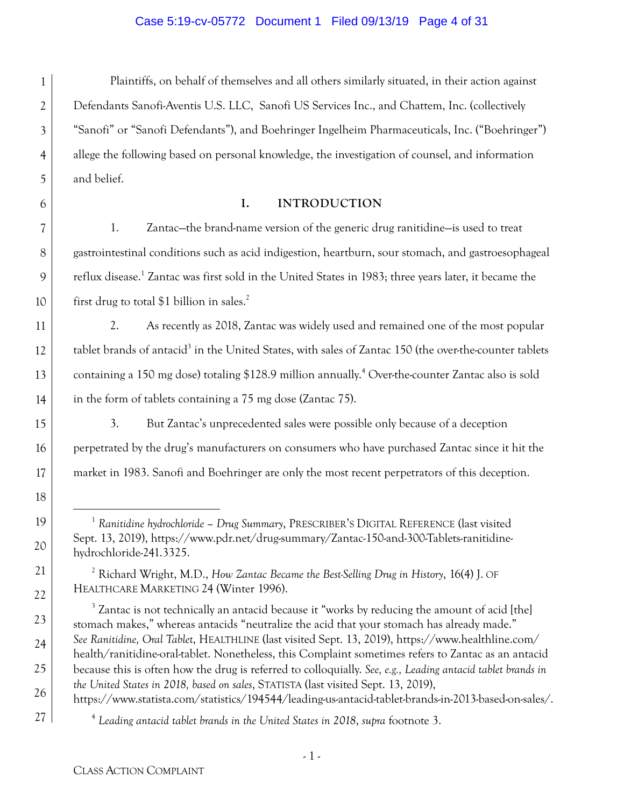#### Case 5:19-cv-05772 Document 1 Filed 09/13/19 Page 4 of 31

1 2 3 4 5 Plaintiffs, on behalf of themselves and all others similarly situated, in their action against Defendants Sanofi-Aventis U.S. LLC, Sanofi US Services Inc., and Chattem, Inc. (collectively "Sanofi" or "Sanofi Defendants"), and Boehringer Ingelheim Pharmaceuticals, Inc. ("Boehringer") allege the following based on personal knowledge, the investigation of counsel, and information and belief.

6

7

8

9

10

11

12

13

14

15

16

17

18

19

20

21

22

23

24

25

26

27

#### **I. INTRODUCTION**

1. Zantac—the brand-name version of the generic drug ranitidine—is used to treat gastrointestinal conditions such as acid indigestion, heartburn, sour stomach, and gastroesophageal reflux disease.<sup>1</sup> Zantac was first sold in the United States in 1983; three years later, it became the first drug to total \$1 billion in sales.<sup>2</sup>

2. As recently as 2018, Zantac was widely used and remained one of the most popular tablet brands of antacid<sup>3</sup> in the United States, with sales of Zantac 150 (the over-the-counter tablets containing a 150 mg dose) totaling \$128.9 million annually.<sup>4</sup> Over-the-counter Zantac also is sold in the form of tablets containing a 75 mg dose (Zantac 75).

3. But Zantac's unprecedented sales were possible only because of a deception perpetrated by the drug's manufacturers on consumers who have purchased Zantac since it hit the market in 1983. Sanofi and Boehringer are only the most recent perpetrators of this deception.

 <sup>1</sup> *Ranitidine hydrochloride – Drug Summary*, PRESCRIBER'S DIGITAL REFERENCE (last visited Sept. 13, 2019), https://www.pdr.net/drug-summary/Zantac-150-and-300-Tablets-ranitidinehydrochloride-241.3325.

<sup>2</sup> Richard Wright, M.D., *How Zantac Became the Best-Selling Drug in History*, 16(4) J. OF HEALTHCARE MARKETING 24 (Winter 1996).

 $3$  Zantac is not technically an antacid because it "works by reducing the amount of acid [the] stomach makes," whereas antacids "neutralize the acid that your stomach has already made." *See Ranitidine, Oral Tablet*, HEALTHLINE (last visited Sept. 13, 2019), https://www.healthline.com/ health/ranitidine-oral-tablet. Nonetheless, this Complaint sometimes refers to Zantac as an antacid because this is often how the drug is referred to colloquially. *See, e.g., Leading antacid tablet brands in the United States in 2018, based on sales*, STATISTA (last visited Sept. 13, 2019),

https://www.statista.com/statistics/194544/leading-us-antacid-tablet-brands-in-2013-based-on-sales/.

<sup>4</sup> *Leading antacid tablet brands in the United States in 2018*, *supra* footnote 3.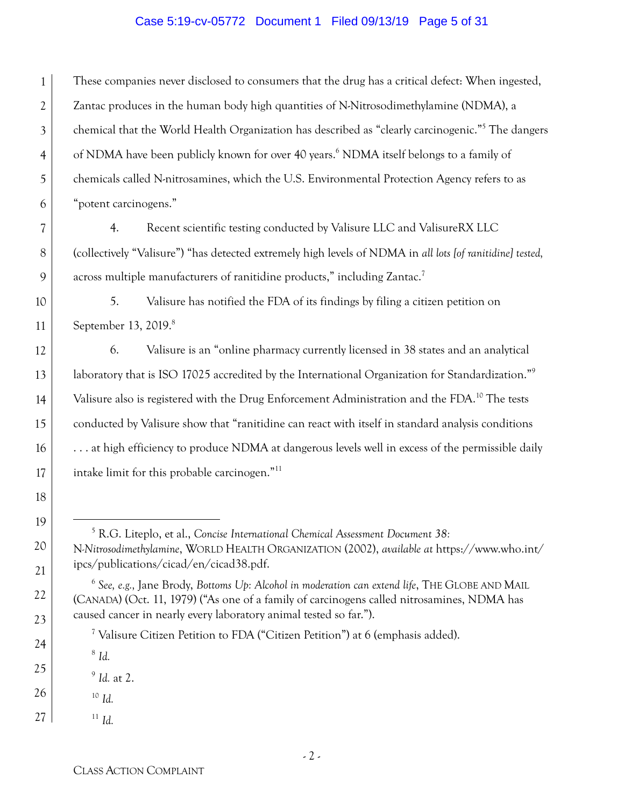#### Case 5:19-cv-05772 Document 1 Filed 09/13/19 Page 5 of 31

1 2 3 4 5 6 These companies never disclosed to consumers that the drug has a critical defect: When ingested, Zantac produces in the human body high quantities of N-Nitrosodimethylamine (NDMA), a chemical that the World Health Organization has described as "clearly carcinogenic."5 The dangers of NDMA have been publicly known for over 40 years.<sup>6</sup> NDMA itself belongs to a family of chemicals called N-nitrosamines, which the U.S. Environmental Protection Agency refers to as "potent carcinogens."

4. Recent scientific testing conducted by Valisure LLC and ValisureRX LLC (collectively "Valisure") "has detected extremely high levels of NDMA in *all lots [of ranitidine] tested,* across multiple manufacturers of ranitidine products," including Zantac.<sup>7</sup>

10 11 5. Valisure has notified the FDA of its findings by filing a citizen petition on September 13, 2019.<sup>8</sup>

6. Valisure is an "online pharmacy currently licensed in 38 states and an analytical laboratory that is ISO 17025 accredited by the International Organization for Standardization."<sup>9</sup> Valisure also is registered with the Drug Enforcement Administration and the FDA.<sup>10</sup> The tests conducted by Valisure show that "ranitidine can react with itself in standard analysis conditions . . . at high efficiency to produce NDMA at dangerous levels well in excess of the permissible daily intake limit for this probable carcinogen."11

 5 R.G. Liteplo, et al., *Concise International Chemical Assessment Document 38:*  N*-Nitrosodimethylamine*, WORLD HEALTH ORGANIZATION (2002), *available at* https://www.who.int/ ipcs/publications/cicad/en/cicad38.pdf.

<sup>7</sup> Valisure Citizen Petition to FDA ("Citizen Petition") at 6 (emphasis added).

<sup>8</sup> *Id.*

<sup>9</sup> *Id.* at 2.

26 <sup>10</sup> *Id.*

7

8

9

12

13

14

15

16

17

18

19

20

21

22

23

24

25

27 <sup>11</sup> *Id.*

<sup>6</sup> *See, e.g.,* Jane Brody, *Bottoms Up: Alcohol in moderation can extend life*, THE GLOBE AND MAIL (CANADA) (Oct. 11, 1979) ("As one of a family of carcinogens called nitrosamines, NDMA has caused cancer in nearly every laboratory animal tested so far.").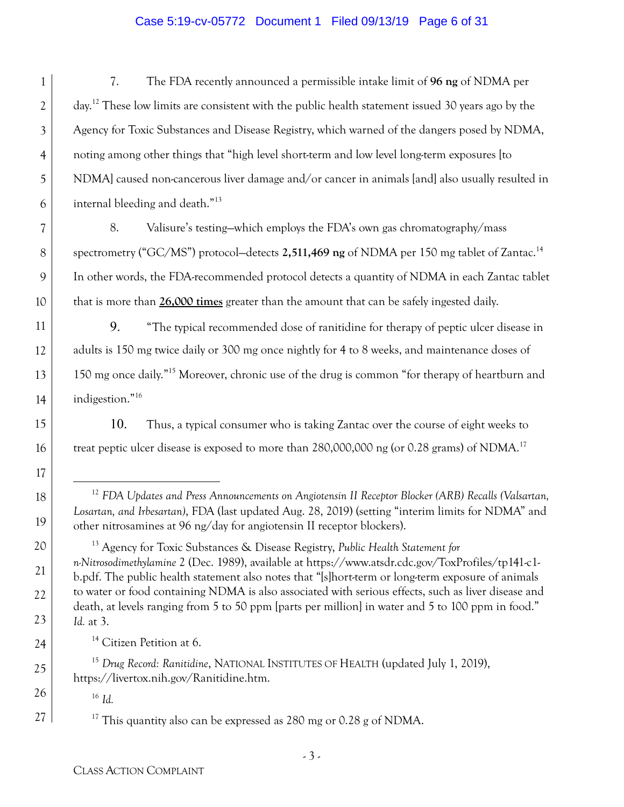#### Case 5:19-cv-05772 Document 1 Filed 09/13/19 Page 6 of 31

1 2 3 4 5 6 7. The FDA recently announced a permissible intake limit of **96 ng** of NDMA per day.12 These low limits are consistent with the public health statement issued 30 years ago by the Agency for Toxic Substances and Disease Registry, which warned of the dangers posed by NDMA, noting among other things that "high level short-term and low level long-term exposures [to NDMA] caused non-cancerous liver damage and/or cancer in animals [and] also usually resulted in internal bleeding and death."13

8. Valisure's testing—which employs the FDA's own gas chromatography/mass spectrometry ("GC/MS") protocol—detects 2,511,469 ng of NDMA per 150 mg tablet of Zantac.<sup>14</sup> In other words, the FDA-recommended protocol detects a quantity of NDMA in each Zantac tablet that is more than **26,000 times** greater than the amount that can be safely ingested daily.

9. "The typical recommended dose of ranitidine for therapy of peptic ulcer disease in adults is 150 mg twice daily or 300 mg once nightly for 4 to 8 weeks, and maintenance doses of 150 mg once daily."15 Moreover, chronic use of the drug is common "for therapy of heartburn and indigestion."16

10. Thus, a typical consumer who is taking Zantac over the course of eight weeks to treat peptic ulcer disease is exposed to more than  $280,000,000$  ng (or 0.28 grams) of NDMA.<sup>17</sup>

 12 *FDA Updates and Press Announcements on Angiotensin II Receptor Blocker (ARB) Recalls (Valsartan, Losartan, and Irbesartan)*, FDA (last updated Aug. 28, 2019) (setting "interim limits for NDMA" and other nitrosamines at 96 ng/day for angiotensin II receptor blockers).

13 Agency for Toxic Substances & Disease Registry, *Public Health Statement for n-Nitrosodimethylamine* 2 (Dec. 1989), available at https://www.atsdr.cdc.gov/ToxProfiles/tp141-c1 b.pdf. The public health statement also notes that "[s]hort-term or long-term exposure of animals to water or food containing NDMA is also associated with serious effects, such as liver disease and death, at levels ranging from 5 to 50 ppm [parts per million] in water and 5 to 100 ppm in food." *Id.* at 3.

<sup>14</sup> Citizen Petition at 6.

<sup>15</sup> *Drug Record: Ranitidine*, NATIONAL INSTITUTES OF HEALTH (updated July 1, 2019), https://livertox.nih.gov/Ranitidine.htm.

<sup>16</sup> *Id.*

7

8

9

10

11

12

13

14

15

16

17

18

19

20

21

22

23

24

25

26

27

<sup>17</sup> This quantity also can be expressed as  $280$  mg or  $0.28$  g of NDMA.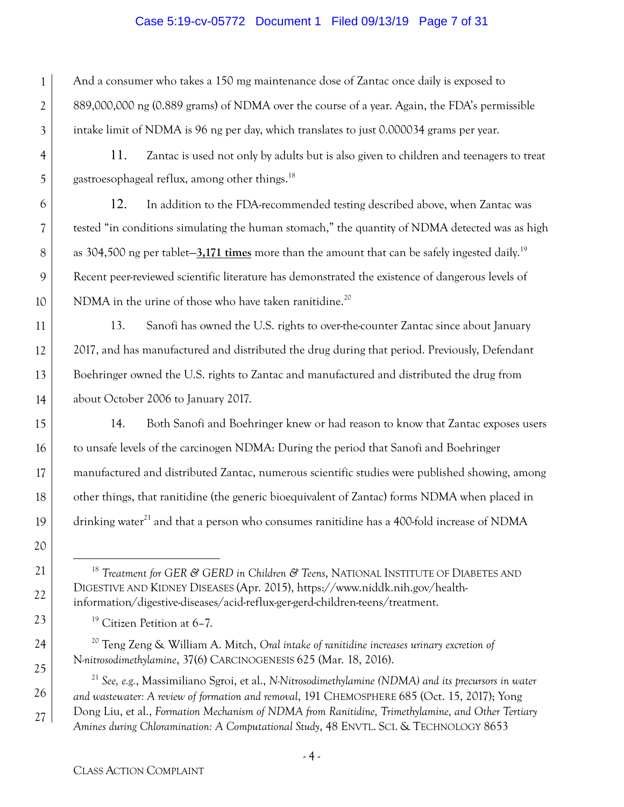#### Case 5:19-cv-05772 Document 1 Filed 09/13/19 Page 7 of 31

1 3 And a consumer who takes a 150 mg maintenance dose of Zantac once daily is exposed to 889,000,000 ng (0.889 grams) of NDMA over the course of a year. Again, the FDA's permissible intake limit of NDMA is 96 ng per day, which translates to just 0.000034 grams per year.

11. Zantac is used not only by adults but is also given to children and teenagers to treat gastroesophageal reflux, among other things.18

12. In addition to the FDA-recommended testing described above, when Zantac was tested "in conditions simulating the human stomach," the quantity of NDMA detected was as high as 304,500 ng per tablet—**3,171 times** more than the amount that can be safely ingested daily.19 Recent peer-reviewed scientific literature has demonstrated the existence of dangerous levels of NDMA in the urine of those who have taken ranitidine.<sup>20</sup>

13. Sanofi has owned the U.S. rights to over-the-counter Zantac since about January 2017, and has manufactured and distributed the drug during that period. Previously, Defendant Boehringer owned the U.S. rights to Zantac and manufactured and distributed the drug from about October 2006 to January 2017.

14. Both Sanofi and Boehringer knew or had reason to know that Zantac exposes users to unsafe levels of the carcinogen NDMA: During the period that Sanofi and Boehringer manufactured and distributed Zantac, numerous scientific studies were published showing, among other things, that ranitidine (the generic bioequivalent of Zantac) forms NDMA when placed in drinking water<sup>21</sup> and that a person who consumes ranitidine has a 400-fold increase of NDMA

 18 *Treatment for GER & GERD in Children & Teens*, NATIONAL INSTITUTE OF DIABETES AND DIGESTIVE AND KIDNEY DISEASES (Apr. 2015), https://www.niddk.nih.gov/healthinformation/digestive-diseases/acid-reflux-ger-gerd-children-teens/treatment.

<sup>19</sup> Citizen Petition at 6-7.

2

4

5

6

7

8

9

10

11

12

13

14

15

16

17

18

19

20

21

22

23

24

25

26

27

20 Teng Zeng & William A. Mitch, *Oral intake of ranitidine increases urinary excretion of*  N*-nitrosodimethylamine*, 37(6) CARCINOGENESIS 625 (Mar. 18, 2016).

<sup>21</sup> *See, e.g.*, Massimiliano Sgroi, et al., *N-Nitrosodimethylamine (NDMA) and its precursors in water and wastewater: A review of formation and removal*, 191 CHEMOSPHERE 685 (Oct. 15, 2017); Yong Dong Liu, et al., *Formation Mechanism of NDMA from Ranitidine, Trimethylamine, and Other Tertiary Amines during Chloramination: A Computational Study*, 48 ENVTL. SCI. & TECHNOLOGY 8653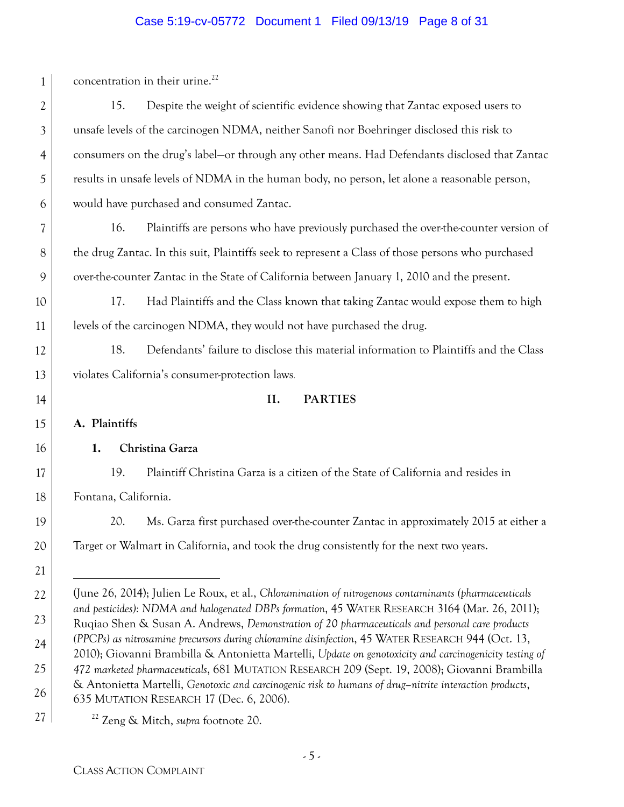# Case 5:19-cv-05772 Document 1 Filed 09/13/19 Page 8 of 31

| $\mathbf{1}$   | concentration in their urine. <sup>22</sup>                                                                                                                                                                 |
|----------------|-------------------------------------------------------------------------------------------------------------------------------------------------------------------------------------------------------------|
| 2              | Despite the weight of scientific evidence showing that Zantac exposed users to<br>15.                                                                                                                       |
| $\mathfrak{Z}$ | unsafe levels of the carcinogen NDMA, neither Sanofi nor Boehringer disclosed this risk to                                                                                                                  |
| $\overline{4}$ | consumers on the drug's label-or through any other means. Had Defendants disclosed that Zantac                                                                                                              |
| 5              | results in unsafe levels of NDMA in the human body, no person, let alone a reasonable person,                                                                                                               |
| 6              | would have purchased and consumed Zantac.                                                                                                                                                                   |
| 7              | Plaintiffs are persons who have previously purchased the over-the-counter version of<br>16.                                                                                                                 |
| $8\phantom{1}$ | the drug Zantac. In this suit, Plaintiffs seek to represent a Class of those persons who purchased                                                                                                          |
| 9              | over-the-counter Zantac in the State of California between January 1, 2010 and the present.                                                                                                                 |
| 10             | 17.<br>Had Plaintiffs and the Class known that taking Zantac would expose them to high                                                                                                                      |
| 11             | levels of the carcinogen NDMA, they would not have purchased the drug.                                                                                                                                      |
| 12             | 18.<br>Defendants' failure to disclose this material information to Plaintiffs and the Class                                                                                                                |
| 13             | violates California's consumer-protection laws.                                                                                                                                                             |
| 14             | II.<br><b>PARTIES</b>                                                                                                                                                                                       |
| 15             | A. Plaintiffs                                                                                                                                                                                               |
| 16             | 1.<br>Christina Garza                                                                                                                                                                                       |
| 17             | 19.<br>Plaintiff Christina Garza is a citizen of the State of California and resides in                                                                                                                     |
| 18             | Fontana, California.                                                                                                                                                                                        |
| 19             | Ms. Garza first purchased over-the-counter Zantac in approximately 2015 at either a<br>20.                                                                                                                  |
| 20             | Target or Walmart in California, and took the drug consistently for the next two years.                                                                                                                     |
| 21             |                                                                                                                                                                                                             |
| 22             | (June 26, 2014); Julien Le Roux, et al., Chloramination of nitrogenous contaminants (pharmaceuticals                                                                                                        |
| 23             | and pesticides): NDMA and halogenated DBPs formation, 45 WATER RESEARCH 3164 (Mar. 26, 2011);<br>Rugiao Shen & Susan A. Andrews, Demonstration of 20 pharmaceuticals and personal care products             |
| 24             | (PPCPs) as nitrosamine precursors during chloramine disinfection, 45 WATER RESEARCH 944 (Oct. 13,<br>2010); Giovanni Brambilla & Antonietta Martelli, Update on genotoxicity and carcinogenicity testing of |
| 25             | 472 marketed pharmaceuticals, 681 MUTATION RESEARCH 209 (Sept. 19, 2008); Giovanni Brambilla                                                                                                                |
| 26             | & Antonietta Martelli, Genotoxic and carcinogenic risk to humans of drug-nitrite interaction products,<br>635 MUTATION RESEARCH 17 (Dec. 6, 2006).                                                          |
| 27             | <sup>22</sup> Zeng & Mitch, <i>supra</i> footnote 20.                                                                                                                                                       |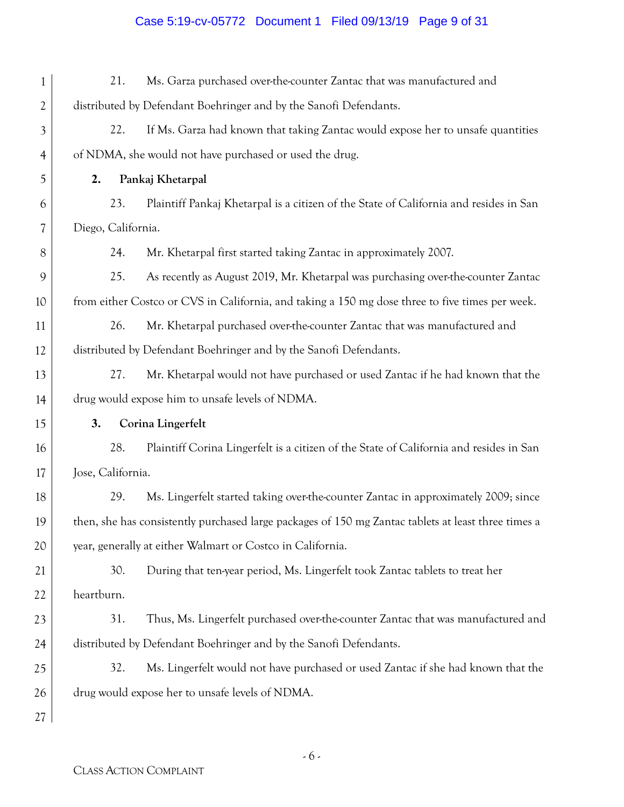# Case 5:19-cv-05772 Document 1 Filed 09/13/19 Page 9 of 31

| 1              | Ms. Garza purchased over-the-counter Zantac that was manufactured and<br>21.                        |
|----------------|-----------------------------------------------------------------------------------------------------|
| 2              | distributed by Defendant Boehringer and by the Sanofi Defendants.                                   |
| $\mathfrak{Z}$ | If Ms. Garza had known that taking Zantac would expose her to unsafe quantities<br>22.              |
| $\overline{4}$ | of NDMA, she would not have purchased or used the drug.                                             |
| 5              | Pankaj Khetarpal<br>2.                                                                              |
| 6              | Plaintiff Pankaj Khetarpal is a citizen of the State of California and resides in San<br>23.        |
| 7              | Diego, California.                                                                                  |
| 8              | Mr. Khetarpal first started taking Zantac in approximately 2007.<br>24.                             |
| 9              | As recently as August 2019, Mr. Khetarpal was purchasing over-the-counter Zantac<br>25.             |
| 10             | from either Costco or CVS in California, and taking a 150 mg dose three to five times per week.     |
| 11             | Mr. Khetarpal purchased over-the-counter Zantac that was manufactured and<br>26.                    |
| 12             | distributed by Defendant Boehringer and by the Sanofi Defendants.                                   |
| 13             | Mr. Khetarpal would not have purchased or used Zantac if he had known that the<br>27.               |
| 14             | drug would expose him to unsafe levels of NDMA.                                                     |
| 15             | Corina Lingerfelt<br>3.                                                                             |
| 16             | 28.<br>Plaintiff Corina Lingerfelt is a citizen of the State of California and resides in San       |
| 17             | Jose, California.                                                                                   |
| 18             | 29.<br>Ms. Lingerfelt started taking over-the-counter Zantac in approximately 2009; since           |
| 19             | then, she has consistently purchased large packages of 150 mg Zantac tablets at least three times a |
| 20             | year, generally at either Walmart or Costco in California.                                          |
| 21             | 30.<br>During that ten-year period, Ms. Lingerfelt took Zantac tablets to treat her                 |
| 22             | heartburn.                                                                                          |
| 23             | 31.<br>Thus, Ms. Lingerfelt purchased over-the-counter Zantac that was manufactured and             |
| 24             | distributed by Defendant Boehringer and by the Sanofi Defendants.                                   |
| 25             | 32.<br>Ms. Lingerfelt would not have purchased or used Zantac if she had known that the             |
| 26             | drug would expose her to unsafe levels of NDMA.                                                     |
| 27             |                                                                                                     |

- 6 -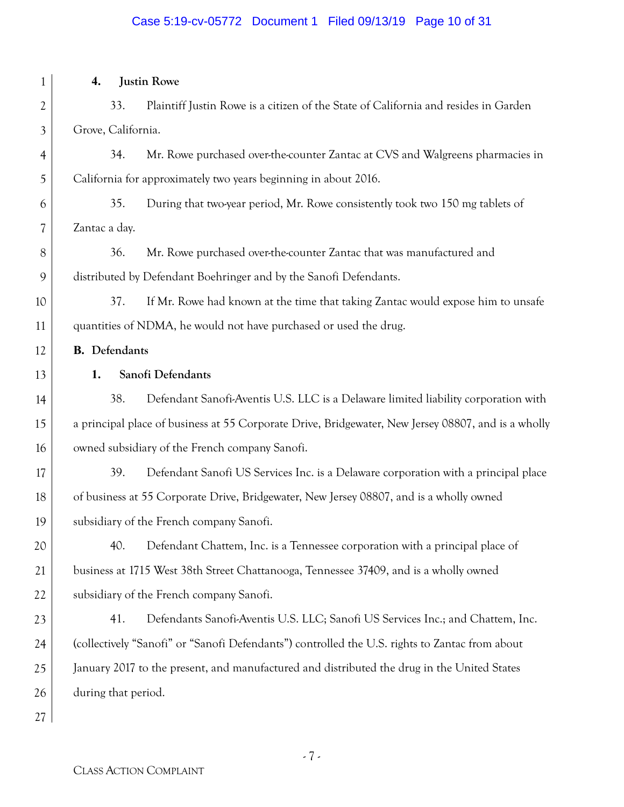# Case 5:19-cv-05772 Document 1 Filed 09/13/19 Page 10 of 31

| 1              | <b>Justin Rowe</b><br>4.                                                                            |
|----------------|-----------------------------------------------------------------------------------------------------|
| $\overline{2}$ | Plaintiff Justin Rowe is a citizen of the State of California and resides in Garden<br>33.          |
| 3              | Grove, California.                                                                                  |
| 4              | 34.<br>Mr. Rowe purchased over-the-counter Zantac at CVS and Walgreens pharmacies in                |
| 5              | California for approximately two years beginning in about 2016.                                     |
| 6              | During that two-year period, Mr. Rowe consistently took two 150 mg tablets of<br>35.                |
| 7              | Zantac a day.                                                                                       |
| 8              | Mr. Rowe purchased over-the-counter Zantac that was manufactured and<br>36.                         |
| 9              | distributed by Defendant Boehringer and by the Sanofi Defendants.                                   |
| 10             | If Mr. Rowe had known at the time that taking Zantac would expose him to unsafe<br>37.              |
| 11             | quantities of NDMA, he would not have purchased or used the drug.                                   |
| 12             | <b>B.</b> Defendants                                                                                |
| 13             | Sanofi Defendants<br>1.                                                                             |
| 14             | 38.<br>Defendant Sanofi-Aventis U.S. LLC is a Delaware limited liability corporation with           |
| 15             | a principal place of business at 55 Corporate Drive, Bridgewater, New Jersey 08807, and is a wholly |
| 16             | owned subsidiary of the French company Sanofi.                                                      |
| 17             | 39.<br>Defendant Sanofi US Services Inc. is a Delaware corporation with a principal place           |
| 18             | of business at 55 Corporate Drive, Bridgewater, New Jersey 08807, and is a wholly owned             |
| 19             | subsidiary of the French company Sanofi.                                                            |
| 20             | Defendant Chattem, Inc. is a Tennessee corporation with a principal place of<br>40.                 |
| 21             | business at 1715 West 38th Street Chattanooga, Tennessee 37409, and is a wholly owned               |
| 22             | subsidiary of the French company Sanofi.                                                            |
| 23             | 41.<br>Defendants Sanofi-Aventis U.S. LLC; Sanofi US Services Inc.; and Chattem, Inc.               |
| 24             | (collectively "Sanofi" or "Sanofi Defendants") controlled the U.S. rights to Zantac from about      |
| 25             | January 2017 to the present, and manufactured and distributed the drug in the United States         |
| 26             | during that period.                                                                                 |
| 27             |                                                                                                     |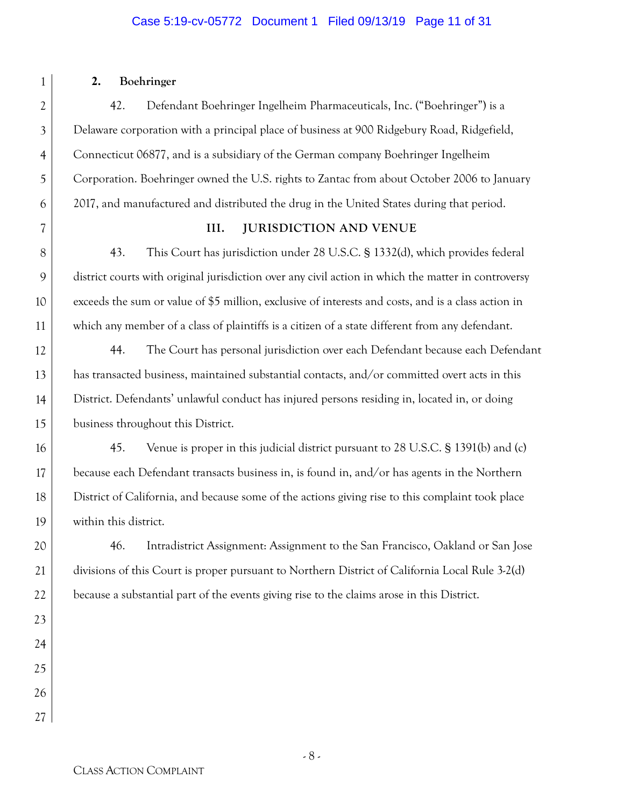#### Case 5:19-cv-05772 Document 1 Filed 09/13/19 Page 11 of 31

# 1 2 3 4 5 6 7 8 9 10 11 12 13 14 15 16 17 18 19 20 21 22 23 24 25 26 27

#### **2. Boehringer**

42. Defendant Boehringer Ingelheim Pharmaceuticals, Inc. ("Boehringer") is a Delaware corporation with a principal place of business at 900 Ridgebury Road, Ridgefield, Connecticut 06877, and is a subsidiary of the German company Boehringer Ingelheim Corporation. Boehringer owned the U.S. rights to Zantac from about October 2006 to January 2017, and manufactured and distributed the drug in the United States during that period.

#### **III. JURISDICTION AND VENUE**

43. This Court has jurisdiction under 28 U.S.C. § 1332(d), which provides federal district courts with original jurisdiction over any civil action in which the matter in controversy exceeds the sum or value of \$5 million, exclusive of interests and costs, and is a class action in which any member of a class of plaintiffs is a citizen of a state different from any defendant.

44. The Court has personal jurisdiction over each Defendant because each Defendant has transacted business, maintained substantial contacts, and/or committed overt acts in this District. Defendants' unlawful conduct has injured persons residing in, located in, or doing business throughout this District.

45. Venue is proper in this judicial district pursuant to 28 U.S.C. § 1391(b) and (c) because each Defendant transacts business in, is found in, and/or has agents in the Northern District of California, and because some of the actions giving rise to this complaint took place within this district.

46. Intradistrict Assignment: Assignment to the San Francisco, Oakland or San Jose divisions of this Court is proper pursuant to Northern District of California Local Rule 3-2(d) because a substantial part of the events giving rise to the claims arose in this District.

CLASS ACTION COMPLAINT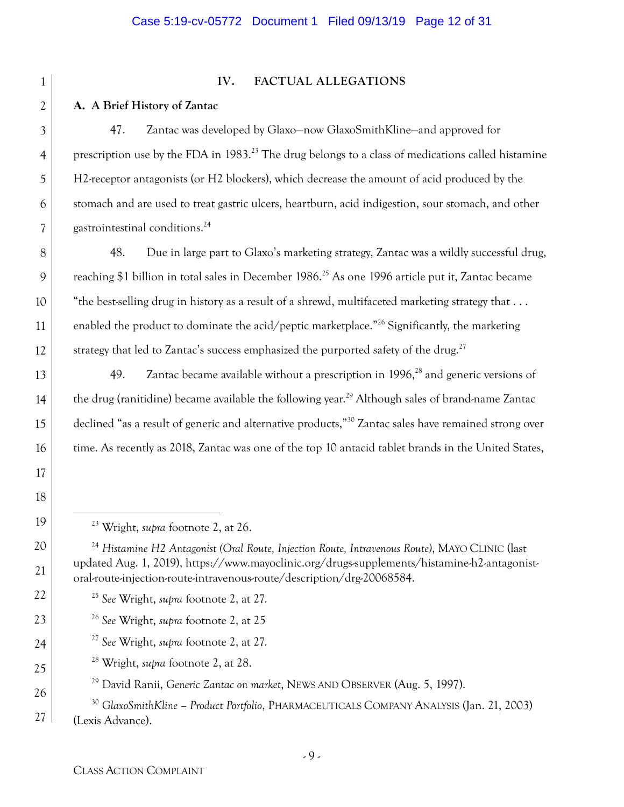| 1                        |
|--------------------------|
|                          |
| 3                        |
| $\overline{4}$           |
| 5                        |
| 6                        |
| $\overline{\mathcal{C}}$ |
| 8                        |
| 9                        |
| 10                       |
| $\overline{11}$          |
| 12                       |
| 13                       |
| 14                       |
| 15                       |
| 16                       |
| 17                       |
| 18                       |
| 19                       |
| 20                       |
| 21                       |
| $^{22}$                  |
| 23                       |
| 24                       |
| 25                       |
| 26                       |

27

#### **IV. FACTUAL ALLEGATIONS**

#### **A. A Brief History of Zantac**

47. Zantac was developed by Glaxo—now GlaxoSmithKline—and approved for prescription use by the FDA in 1983.23 The drug belongs to a class of medications called histamine H2-receptor antagonists (or H2 blockers), which decrease the amount of acid produced by the stomach and are used to treat gastric ulcers, heartburn, acid indigestion, sour stomach, and other gastrointestinal conditions.24

48. Due in large part to Glaxo's marketing strategy, Zantac was a wildly successful drug, reaching \$1 billion in total sales in December 1986.<sup>25</sup> As one 1996 article put it, Zantac became "the best-selling drug in history as a result of a shrewd, multifaceted marketing strategy that . . . enabled the product to dominate the acid/peptic marketplace.<sup>"26</sup> Significantly, the marketing strategy that led to Zantac's success emphasized the purported safety of the drug.<sup>27</sup>

49. Zantac became available without a prescription in  $1996$ <sup>28</sup> and generic versions of the drug (ranitidine) became available the following year.<sup>29</sup> Although sales of brand-name Zantac declined "as a result of generic and alternative products,"<sup>30</sup> Zantac sales have remained strong over time. As recently as 2018, Zantac was one of the top 10 antacid tablet brands in the United States,

- <sup>26</sup> *See* Wright, *supra* footnote 2, at 25
- <sup>27</sup> *See* Wright, *supra* footnote 2, at 27.
	- 28 Wright, *supra* footnote 2, at 28.

29 David Ranii, *Generic Zantac on market*, NEWS AND OBSERVER (Aug. 5, 1997).

 <sup>23</sup> Wright, *supra* footnote 2, at 26.

<sup>24</sup> *Histamine H2 Antagonist (Oral Route, Injection Route, Intravenous Route)*, MAYO CLINIC (last updated Aug. 1, 2019), https://www.mayoclinic.org/drugs-supplements/histamine-h2-antagonistoral-route-injection-route-intravenous-route/description/drg-20068584.

<sup>25</sup> *See* Wright, *supra* footnote 2, at 27.

<sup>30</sup> *GlaxoSmithKline – Product Portfolio*, PHARMACEUTICALS COMPANY ANALYSIS (Jan. 21, 2003) (Lexis Advance).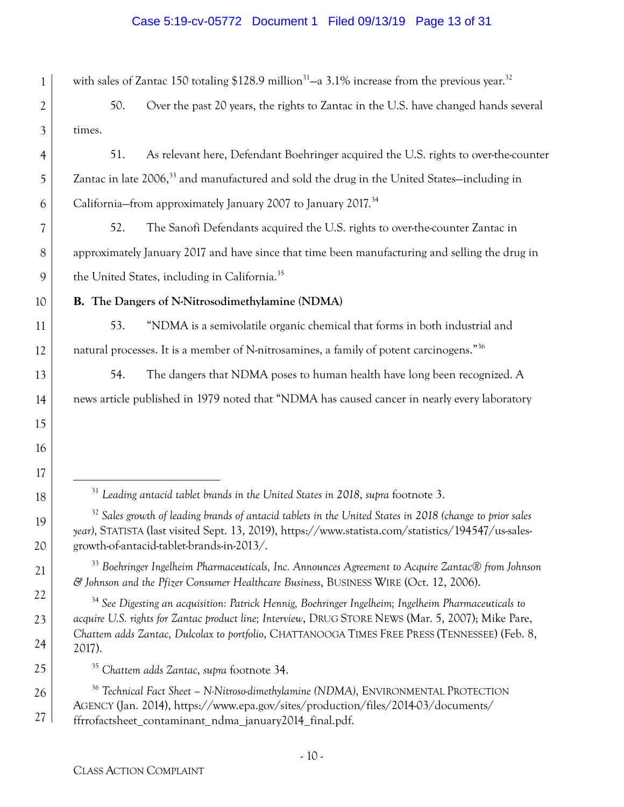#### Case 5:19-cv-05772 Document 1 Filed 09/13/19 Page 13 of 31

1 2 3 4 5 6 7 8 9 10 11 12 13 14 15 16 17 18 19 20 21 22 23 24 25 26 27 with sales of Zantac 150 totaling  $$128.9$  million<sup>31</sup>-a 3.1% increase from the previous year.<sup>32</sup> 50. Over the past 20 years, the rights to Zantac in the U.S. have changed hands several times. 51. As relevant here, Defendant Boehringer acquired the U.S. rights to over-the-counter Zantac in late 2006,<sup>33</sup> and manufactured and sold the drug in the United States-including in California–from approximately January 2007 to January 2017.<sup>34</sup> 52. The Sanofi Defendants acquired the U.S. rights to over-the-counter Zantac in approximately January 2017 and have since that time been manufacturing and selling the drug in the United States, including in California.<sup>35</sup> **B. The Dangers of N-Nitrosodimethylamine (NDMA)**  53. "NDMA is a semivolatile organic chemical that forms in both industrial and natural processes. It is a member of N-nitrosamines, a family of potent carcinogens."36 54. The dangers that NDMA poses to human health have long been recognized. A news article published in 1979 noted that "NDMA has caused cancer in nearly every laboratory 31 *Leading antacid tablet brands in the United States in 2018*, *supra* footnote 3. <sup>32</sup> Sales growth of leading brands of antacid tablets in the United States in 2018 (change to prior sales *year)*, STATISTA (last visited Sept. 13, 2019), https://www.statista.com/statistics/194547/us-salesgrowth-of-antacid-tablet-brands-in-2013/. <sup>33</sup> *Boehringer Ingelheim Pharmaceuticals, Inc. Announces Agreement to Acquire Zantac® from Johnson & Johnson and the Pfizer Consumer Healthcare Business*, BUSINESS WIRE (Oct. 12, 2006). <sup>34</sup> *See Digesting an acquisition: Patrick Hennig, Boehringer Ingelheim; Ingelheim Pharmaceuticals to acquire U.S. rights for Zantac product line; Interview*, DRUG STORE NEWS (Mar. 5, 2007); Mike Pare, *Chattem adds Zantac, Dulcolax to portfolio*, CHATTANOOGA TIMES FREE PRESS (TENNESSEE) (Feb. 8, 2017). <sup>35</sup> *Chattem adds Zantac*, *supra* footnote 34. <sup>36</sup> *Technical Fact Sheet – N-Nitroso-dimethylamine (NDMA)*, ENVIRONMENTAL PROTECTION AGENCY (Jan. 2014), https://www.epa.gov/sites/production/files/2014-03/documents/ ffrrofactsheet\_contaminant\_ndma\_january2014\_final.pdf.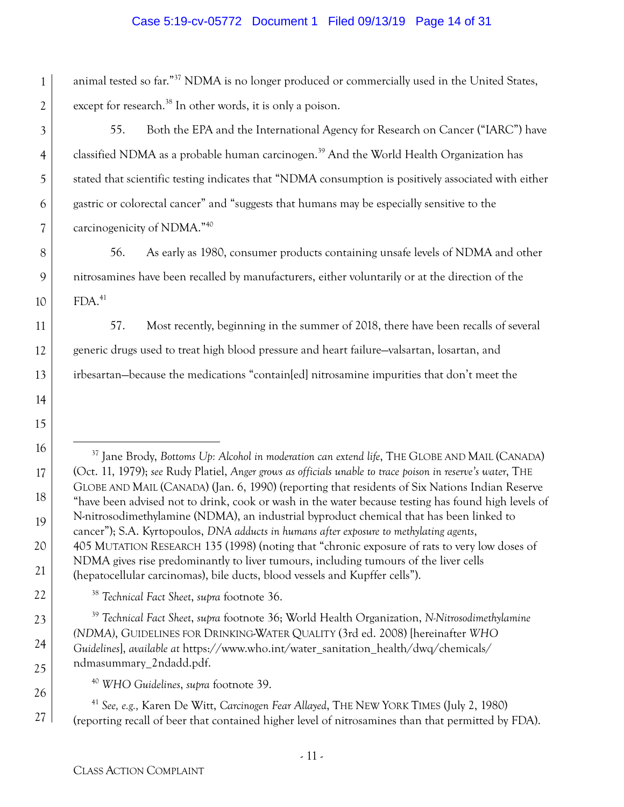#### Case 5:19-cv-05772 Document 1 Filed 09/13/19 Page 14 of 31

1 2 animal tested so far."37 NDMA is no longer produced or commercially used in the United States, except for research.<sup>38</sup> In other words, it is only a poison.

55. Both the EPA and the International Agency for Research on Cancer ("IARC") have classified NDMA as a probable human carcinogen.<sup>39</sup> And the World Health Organization has stated that scientific testing indicates that "NDMA consumption is positively associated with either gastric or colorectal cancer" and "suggests that humans may be especially sensitive to the carcinogenicity of NDMA."40

56. As early as 1980, consumer products containing unsafe levels of NDMA and other nitrosamines have been recalled by manufacturers, either voluntarily or at the direction of the  $FDA.<sup>41</sup>$ 

57. Most recently, beginning in the summer of 2018, there have been recalls of several generic drugs used to treat high blood pressure and heart failure—valsartan, losartan, and irbesartan—because the medications "contain[ed] nitrosamine impurities that don't meet the

 37 Jane Brody, *Bottoms Up: Alcohol in moderation can extend life*, THE GLOBE AND MAIL (CANADA) (Oct. 11, 1979); *see* Rudy Platiel, *Anger grows as officials unable to trace poison in reserve's water*, THE GLOBE AND MAIL (CANADA) (Jan. 6, 1990) (reporting that residents of Six Nations Indian Reserve "have been advised not to drink, cook or wash in the water because testing has found high levels of N-nitrosodimethylamine (NDMA), an industrial byproduct chemical that has been linked to cancer"); S.A. Kyrtopoulos, *DNA adducts in humans after exposure to methylating agents*, 405 MUTATION RESEARCH 135 (1998) (noting that "chronic exposure of rats to very low doses of NDMA gives rise predominantly to liver tumours, including tumours of the liver cells (hepatocellular carcinomas), bile ducts, blood vessels and Kupffer cells").

<sup>38</sup> *Technical Fact Sheet*, *supra* footnote 36.

<sup>39</sup> *Technical Fact Sheet*, *supra* footnote 36; World Health Organization, *N-Nitrosodimethylamine (NDMA)*, GUIDELINES FOR DRINKING-WATER QUALITY (3rd ed. 2008) [hereinafter *WHO Guidelines*], *available at* https://www.who.int/water\_sanitation\_health/dwq/chemicals/ ndmasummary\_2ndadd.pdf.

<sup>40</sup> *WHO Guidelines*, *supra* footnote 39.

<sup>41</sup> *See, e.g.,* Karen De Witt, *Carcinogen Fear Allayed*, THE NEW YORK TIMES (July 2, 1980) (reporting recall of beer that contained higher level of nitrosamines than that permitted by FDA).

3

4

5

6

7

8

9

10

11

12

13

14

15

16

17

18

19

20

21

22

23

24

25

26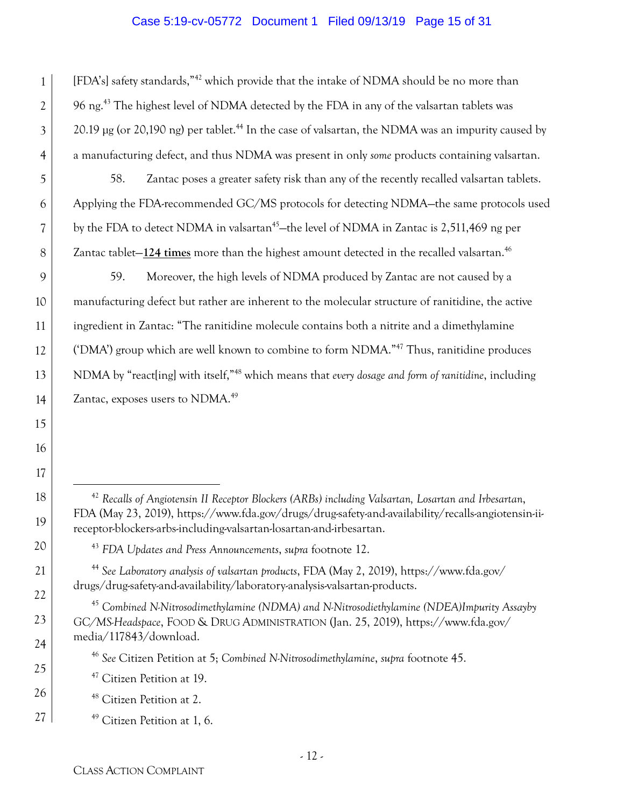#### Case 5:19-cv-05772 Document 1 Filed 09/13/19 Page 15 of 31

[FDA's] safety standards,"42 which provide that the intake of NDMA should be no more than 96 ng.<sup>43</sup> The highest level of NDMA detected by the FDA in any of the valsartan tablets was 20.19 μg (or 20,190 ng) per tablet.<sup>44</sup> In the case of valsartan, the NDMA was an impurity caused by a manufacturing defect, and thus NDMA was present in only *some* products containing valsartan.

58. Zantac poses a greater safety risk than any of the recently recalled valsartan tablets. Applying the FDA-recommended GC/MS protocols for detecting NDMA—the same protocols used by the FDA to detect NDMA in valsartan<sup>45</sup>—the level of NDMA in Zantac is 2,511,469 ng per Zantac tablet–124 times more than the highest amount detected in the recalled valsartan.<sup>46</sup>

59. Moreover, the high levels of NDMA produced by Zantac are not caused by a manufacturing defect but rather are inherent to the molecular structure of ranitidine, the active ingredient in Zantac: "The ranitidine molecule contains both a nitrite and a dimethylamine ('DMA') group which are well known to combine to form NDMA."47 Thus, ranitidine produces NDMA by "react[ing] with itself,"48 which means that *every dosage and form of ranitidine*, including Zantac, exposes users to NDMA.<sup>49</sup>

1

2

3

4

5

6

7

8

9

10

11

12

13

14

15

16

17

18

19

20

21

22

23

24

25

26

 <sup>42</sup> *Recalls of Angiotensin II Receptor Blockers (ARBs) including Valsartan, Losartan and Irbesartan*, FDA (May 23, 2019), https://www.fda.gov/drugs/drug-safety-and-availability/recalls-angiotensin-iireceptor-blockers-arbs-including-valsartan-losartan-and-irbesartan.

<sup>43</sup> *FDA Updates and Press Announcements*, *supra* footnote 12.

<sup>44</sup> *See Laboratory analysis of valsartan products*, FDA (May 2, 2019), https://www.fda.gov/ drugs/drug-safety-and-availability/laboratory-analysis-valsartan-products.

<sup>45</sup> *Combined N-Nitrosodimethylamine (NDMA) and N-Nitrosodiethylamine (NDEA)Impurity Assayby GC/MS-Headspace*, FOOD & DRUG ADMINISTRATION (Jan. 25, 2019), https://www.fda.gov/ media/117843/download.

<sup>46</sup> *See* Citizen Petition at 5; *Combined N-Nitrosodimethylamine*, *supra* footnote 45.

<sup>&</sup>lt;sup>47</sup> Citizen Petition at 19.

<sup>&</sup>lt;sup>48</sup> Citizen Petition at 2.

 $49$  Citizen Petition at 1, 6.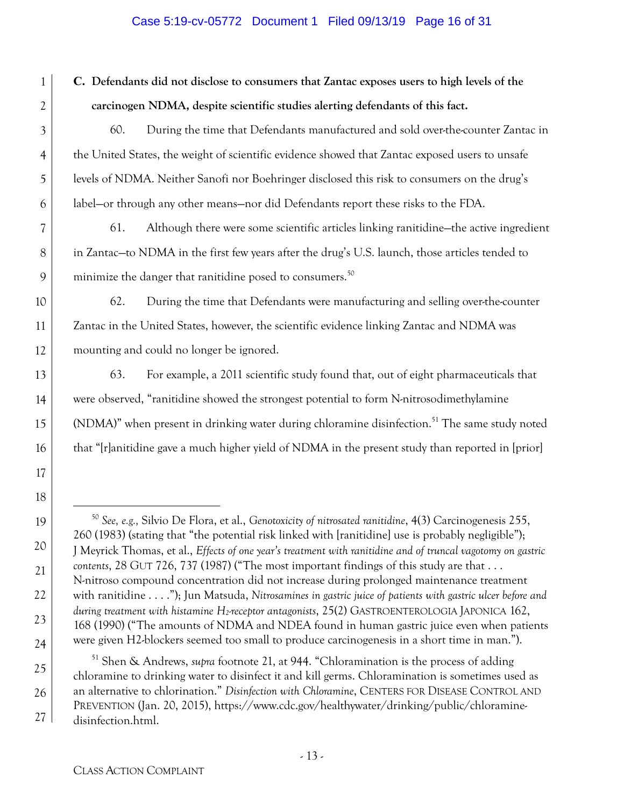#### Case 5:19-cv-05772 Document 1 Filed 09/13/19 Page 16 of 31

**C. Defendants did not disclose to consumers that Zantac exposes users to high levels of the carcinogen NDMA, despite scientific studies alerting defendants of this fact.** 

60. During the time that Defendants manufactured and sold over-the-counter Zantac in the United States, the weight of scientific evidence showed that Zantac exposed users to unsafe levels of NDMA. Neither Sanofi nor Boehringer disclosed this risk to consumers on the drug's label—or through any other means—nor did Defendants report these risks to the FDA.

61. Although there were some scientific articles linking ranitidine—the active ingredient in Zantac—to NDMA in the first few years after the drug's U.S. launch, those articles tended to minimize the danger that ranitidine posed to consumers.<sup>50</sup>

62. During the time that Defendants were manufacturing and selling over-the-counter Zantac in the United States, however, the scientific evidence linking Zantac and NDMA was mounting and could no longer be ignored.

63. For example, a 2011 scientific study found that, out of eight pharmaceuticals that were observed, "ranitidine showed the strongest potential to form N-nitrosodimethylamine (NDMA)" when present in drinking water during chloramine disinfection.<sup>51</sup> The same study noted that "[r]anitidine gave a much higher yield of NDMA in the present study than reported in [prior]

51 Shen & Andrews, *supra* footnote 21, at 944. "Chloramination is the process of adding chloramine to drinking water to disinfect it and kill germs. Chloramination is sometimes used as an alternative to chlorination." *Disinfection with Chloramine*, CENTERS FOR DISEASE CONTROL AND PREVENTION (Jan. 20, 2015), https://www.cdc.gov/healthywater/drinking/public/chloraminedisinfection.html.

1

2

3

4

5

6

7

8

9

10

11

12

13

14

15

16

17

18

19

20

21

22

23

24

25

26

 <sup>50</sup> *See, e.g.,* Silvio De Flora, et al., *Genotoxicity of nitrosated ranitidine*, 4(3) Carcinogenesis 255, 260 (1983) (stating that "the potential risk linked with [ranitidine] use is probably negligible"); J Meyrick Thomas, et al., *Effects of one year's treatment with ranitidine and of truncal vagotomy on gastric contents*, 28 GUT 726, 737 (1987) ("The most important findings of this study are that . . . N-nitroso compound concentration did not increase during prolonged maintenance treatment with ranitidine . . . ."); Jun Matsuda, *Nitrosamines in gastric juice of patients with gastric ulcer before and during treatment with histamine H2-receptor antagonists*, 25(2) GASTROENTEROLOGIA JAPONICA 162, 168 (1990) ("The amounts of NDMA and NDEA found in human gastric juice even when patients were given H2-blockers seemed too small to produce carcinogenesis in a short time in man.").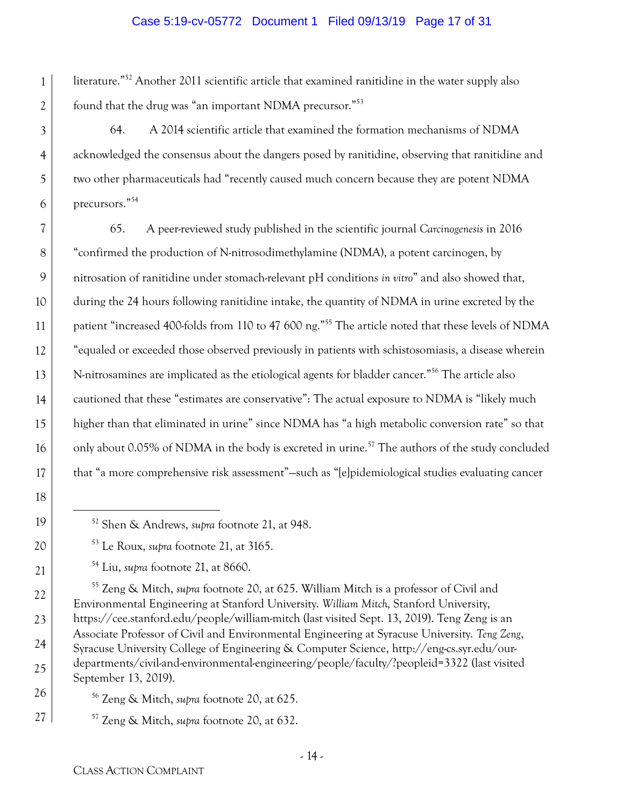#### Case 5:19-cv-05772 Document 1 Filed 09/13/19 Page 17 of 31

1 2 literature."52 Another 2011 scientific article that examined ranitidine in the water supply also found that the drug was "an important NDMA precursor."53

64. A 2014 scientific article that examined the formation mechanisms of NDMA acknowledged the consensus about the dangers posed by ranitidine, observing that ranitidine and two other pharmaceuticals had "recently caused much concern because they are potent NDMA precursors."54

9 10 13 14 15 16 65. A peer-reviewed study published in the scientific journal *Carcinogenesis* in 2016 "confirmed the production of N-nitrosodimethylamine (NDMA), a potent carcinogen, by nitrosation of ranitidine under stomach-relevant pH conditions *in vitro*" and also showed that, during the 24 hours following ranitidine intake, the quantity of NDMA in urine excreted by the patient "increased 400-folds from 110 to 47 600 ng."55 The article noted that these levels of NDMA "equaled or exceeded those observed previously in patients with schistosomiasis, a disease wherein N-nitrosamines are implicated as the etiological agents for bladder cancer."56 The article also cautioned that these "estimates are conservative": The actual exposure to NDMA is "likely much higher than that eliminated in urine" since NDMA has "a high metabolic conversion rate" so that only about 0.05% of NDMA in the body is excreted in urine.<sup>57</sup> The authors of the study concluded that "a more comprehensive risk assessment"—such as "[e]pidemiological studies evaluating cancer

3

4

5

6

7

8

11

12

17

18

19

20

21

22

23

24

25

26

27

55 Zeng & Mitch, *supra* footnote 20, at 625. William Mitch is a professor of Civil and Environmental Engineering at Stanford University. *William Mitch,* Stanford University, https://cee.stanford.edu/people/william-mitch (last visited Sept. 13, 2019). Teng Zeng is an Associate Professor of Civil and Environmental Engineering at Syracuse University. *Teng Zeng*, Syracuse University College of Engineering & Computer Science, http://eng-cs.syr.edu/ourdepartments/civil-and-environmental-engineering/people/faculty/?peopleid=3322 (last visited September 13, 2019).

56 Zeng & Mitch, *supra* footnote 20, at 625.

57 Zeng & Mitch, *supra* footnote 20, at 632.

 <sup>52</sup> Shen & Andrews, *supra* footnote 21, at 948.

<sup>53</sup> Le Roux, *supra* footnote 21, at 3165.

<sup>54</sup> Liu, *supra* footnote 21, at 8660.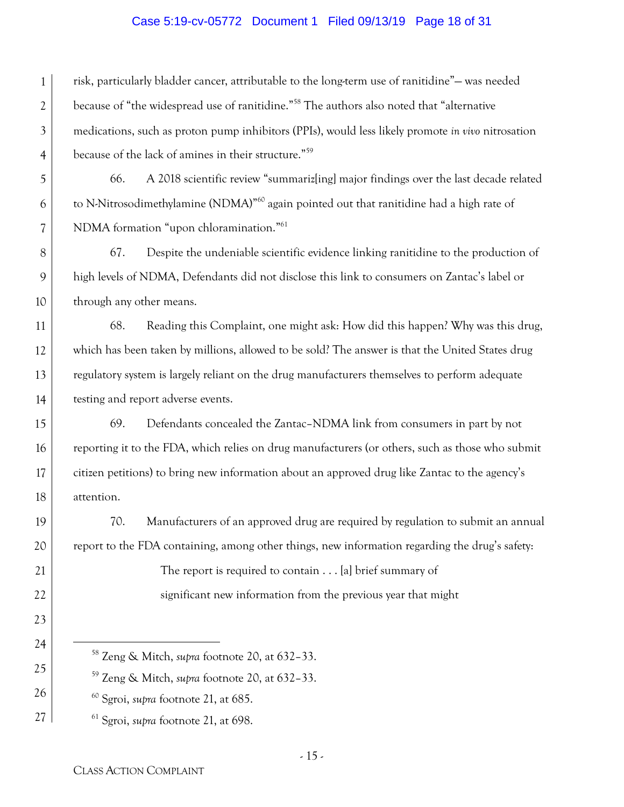#### Case 5:19-cv-05772 Document 1 Filed 09/13/19 Page 18 of 31

1 risk, particularly bladder cancer, attributable to the long-term use of ranitidine"— was needed because of "the widespread use of ranitidine."58 The authors also noted that "alternative medications, such as proton pump inhibitors (PPIs), would less likely promote *in vivo* nitrosation because of the lack of amines in their structure."59

66. A 2018 scientific review "summariz[ing] major findings over the last decade related to N-Nitrosodimethylamine (NDMA)"60 again pointed out that ranitidine had a high rate of NDMA formation "upon chloramination."61

67. Despite the undeniable scientific evidence linking ranitidine to the production of high levels of NDMA, Defendants did not disclose this link to consumers on Zantac's label or through any other means.

68. Reading this Complaint, one might ask: How did this happen? Why was this drug, which has been taken by millions, allowed to be sold? The answer is that the United States drug regulatory system is largely reliant on the drug manufacturers themselves to perform adequate testing and report adverse events.

69. Defendants concealed the Zantac–NDMA link from consumers in part by not reporting it to the FDA, which relies on drug manufacturers (or others, such as those who submit citizen petitions) to bring new information about an approved drug like Zantac to the agency's attention.

70. Manufacturers of an approved drug are required by regulation to submit an annual report to the FDA containing, among other things, new information regarding the drug's safety:

> The report is required to contain . . . [a] brief summary of significant new information from the previous year that might

59 Zeng & Mitch, *supra* footnote 20, at 632–33.

60 Sgroi, *supra* footnote 21, at 685.

61 Sgroi, *supra* footnote 21, at 698.

2

3

4

5

6

7

8

9

10

11

12

13

14

15

16

17

18

19

20

21

22

23

24

25

26

 <sup>58</sup> Zeng & Mitch, *supra* footnote 20, at 632–33.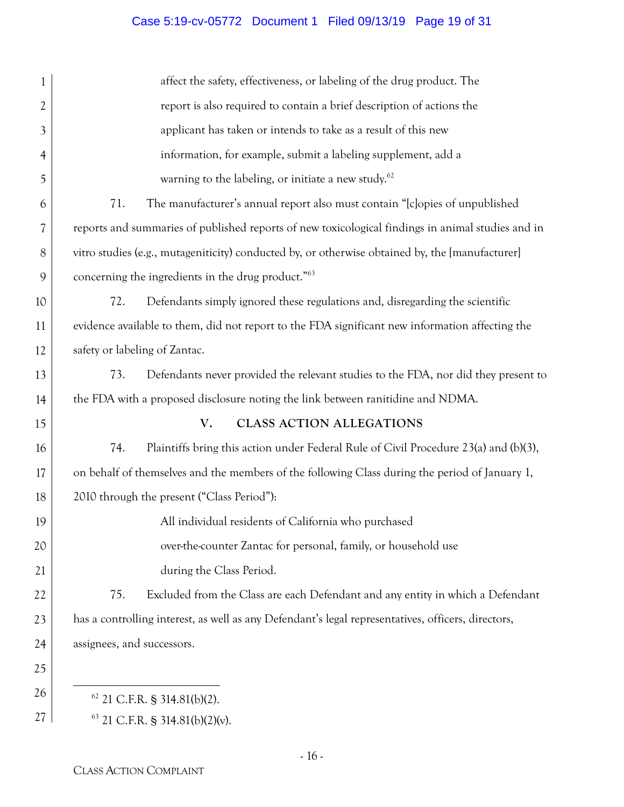# Case 5:19-cv-05772 Document 1 Filed 09/13/19 Page 19 of 31

| 1              | affect the safety, effectiveness, or labeling of the drug product. The                             |
|----------------|----------------------------------------------------------------------------------------------------|
| $\overline{2}$ | report is also required to contain a brief description of actions the                              |
| $\mathfrak{Z}$ | applicant has taken or intends to take as a result of this new                                     |
| 4              | information, for example, submit a labeling supplement, add a                                      |
| 5              | warning to the labeling, or initiate a new study. <sup>62</sup>                                    |
| 6              | 71.<br>The manufacturer's annual report also must contain "[c]opies of unpublished                 |
| 7              | reports and summaries of published reports of new toxicological findings in animal studies and in  |
| 8              | vitro studies (e.g., mutageniticity) conducted by, or otherwise obtained by, the [manufacturer]    |
| 9              | concerning the ingredients in the drug product." <sup>63</sup>                                     |
| 10             | 72.<br>Defendants simply ignored these regulations and, disregarding the scientific                |
| 11             | evidence available to them, did not report to the FDA significant new information affecting the    |
| 12             | safety or labeling of Zantac.                                                                      |
| 13             | 73.<br>Defendants never provided the relevant studies to the FDA, nor did they present to          |
| 14             | the FDA with a proposed disclosure noting the link between ranitidine and NDMA.                    |
| 15             | V.<br><b>CLASS ACTION ALLEGATIONS</b>                                                              |
| 16             | 74.<br>Plaintiffs bring this action under Federal Rule of Civil Procedure 23(a) and (b)(3),        |
| 17             | on behalf of themselves and the members of the following Class during the period of January 1,     |
| 18             | 2010 through the present ("Class Period"):                                                         |
| 19             | All individual residents of California who purchased                                               |
| 20             | over-the-counter Zantac for personal, family, or household use                                     |
| 21             | during the Class Period.                                                                           |
| 22             | Excluded from the Class are each Defendant and any entity in which a Defendant<br>75.              |
| 23             | has a controlling interest, as well as any Defendant's legal representatives, officers, directors, |
| 24             | assignees, and successors.                                                                         |
| 25             |                                                                                                    |
| 26             | $62$ 21 C.F.R. § 314.81(b)(2).                                                                     |
| 27             | $63$ 21 C.F.R. § 314.81(b)(2)(v).                                                                  |
|                |                                                                                                    |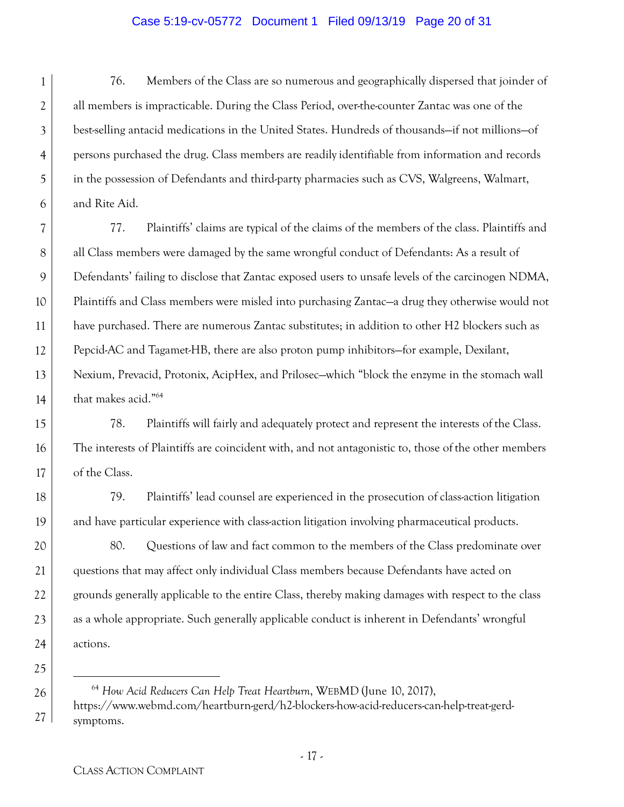#### Case 5:19-cv-05772 Document 1 Filed 09/13/19 Page 20 of 31

1 2 3 4 5 6 76. Members of the Class are so numerous and geographically dispersed that joinder of all members is impracticable. During the Class Period, over-the-counter Zantac was one of the best-selling antacid medications in the United States. Hundreds of thousands—if not millions—of persons purchased the drug. Class members are readily identifiable from information and records in the possession of Defendants and third-party pharmacies such as CVS, Walgreens, Walmart, and Rite Aid.

7 8 9 10 11 12 13 14 77. Plaintiffs' claims are typical of the claims of the members of the class. Plaintiffs and all Class members were damaged by the same wrongful conduct of Defendants: As a result of Defendants' failing to disclose that Zantac exposed users to unsafe levels of the carcinogen NDMA, Plaintiffs and Class members were misled into purchasing Zantac—a drug they otherwise would not have purchased. There are numerous Zantac substitutes; in addition to other H2 blockers such as Pepcid-AC and Tagamet-HB, there are also proton pump inhibitors—for example, Dexilant, Nexium, Prevacid, Protonix, AcipHex, and Prilosec—which "block the enzyme in the stomach wall that makes acid."64

15 16 17 78. Plaintiffs will fairly and adequately protect and represent the interests of the Class. The interests of Plaintiffs are coincident with, and not antagonistic to, those of the other members of the Class.

79. Plaintiffs' lead counsel are experienced in the prosecution of class-action litigation and have particular experience with class-action litigation involving pharmaceutical products.

80. Questions of law and fact common to the members of the Class predominate over questions that may affect only individual Class members because Defendants have acted on grounds generally applicable to the entire Class, thereby making damages with respect to the class as a whole appropriate. Such generally applicable conduct is inherent in Defendants' wrongful actions.

 64 *How Acid Reducers Can Help Treat Heartburn*, WEBMD (June 10, 2017), https://www.webmd.com/heartburn-gerd/h2-blockers-how-acid-reducers-can-help-treat-gerdsymptoms.

18

19

20

21

22

23

24

25

26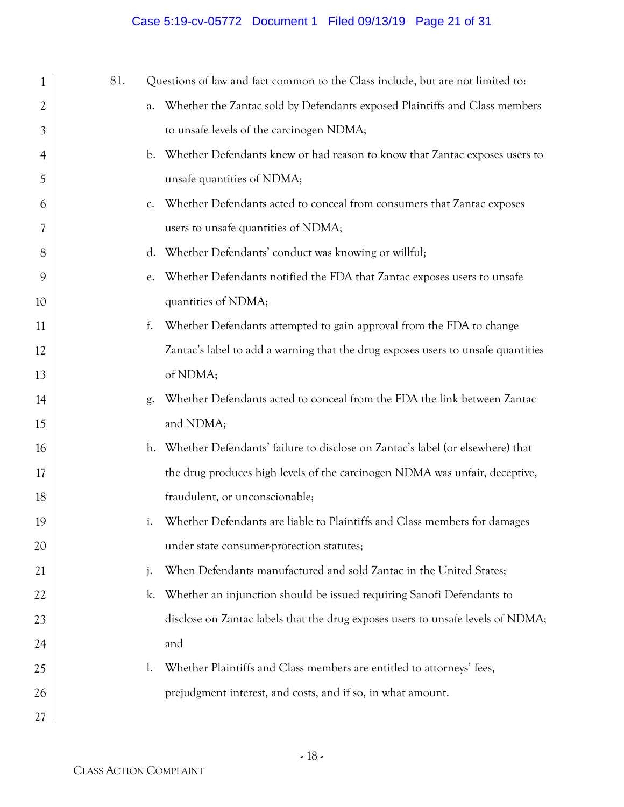# Case 5:19-cv-05772 Document 1 Filed 09/13/19 Page 21 of 31

| 1              | 81. | Questions of law and fact common to the Class include, but are not limited to:            |
|----------------|-----|-------------------------------------------------------------------------------------------|
| 2              |     | Whether the Zantac sold by Defendants exposed Plaintiffs and Class members<br>a.          |
| 3              |     | to unsafe levels of the carcinogen NDMA;                                                  |
| $\overline{4}$ |     | Whether Defendants knew or had reason to know that Zantac exposes users to<br>$b_{\cdot}$ |
| 5              |     | unsafe quantities of NDMA;                                                                |
| 6              |     | Whether Defendants acted to conceal from consumers that Zantac exposes<br>$C_{\star}$     |
| 7              |     | users to unsafe quantities of NDMA;                                                       |
| 8              |     | Whether Defendants' conduct was knowing or willful;<br>$d_{\star}$                        |
| 9              |     | Whether Defendants notified the FDA that Zantac exposes users to unsafe<br>e.             |
| 10             |     | quantities of NDMA;                                                                       |
| 11             |     | Whether Defendants attempted to gain approval from the FDA to change<br>f.                |
| 12             |     | Zantac's label to add a warning that the drug exposes users to unsafe quantities          |
| 13             |     | of NDMA;                                                                                  |
| 14             |     | Whether Defendants acted to conceal from the FDA the link between Zantac<br>g.            |
| 15             |     | and NDMA;                                                                                 |
| 16             |     | h. Whether Defendants' failure to disclose on Zantac's label (or elsewhere) that          |
| 17             |     | the drug produces high levels of the carcinogen NDMA was unfair, deceptive,               |
| 18             |     | fraudulent, or unconscionable;                                                            |
| 19             |     | Whether Defendants are liable to Plaintiffs and Class members for damages<br>i.           |
| 20             |     | under state consumer-protection statutes;                                                 |
| 21             |     | When Defendants manufactured and sold Zantac in the United States;<br>j.                  |
| 22             |     | Whether an injunction should be issued requiring Sanofi Defendants to<br>k.               |
| 23             |     | disclose on Zantac labels that the drug exposes users to unsafe levels of NDMA;           |
| 24             |     | and                                                                                       |
| 25             |     | Whether Plaintiffs and Class members are entitled to attorneys' fees,<br>$\mathbf{l}$ .   |
| 26             |     | prejudgment interest, and costs, and if so, in what amount.                               |
| 27             |     |                                                                                           |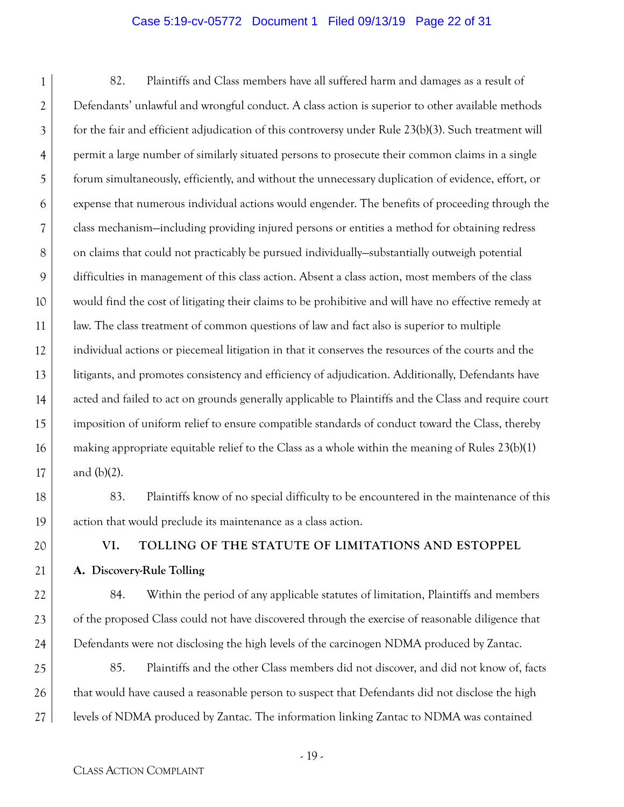#### Case 5:19-cv-05772 Document 1 Filed 09/13/19 Page 22 of 31

1 2 3 4 5 6 7 8 9 10 11 12 13 14 15 16 17 82. Plaintiffs and Class members have all suffered harm and damages as a result of Defendants' unlawful and wrongful conduct. A class action is superior to other available methods for the fair and efficient adjudication of this controversy under Rule 23(b)(3). Such treatment will permit a large number of similarly situated persons to prosecute their common claims in a single forum simultaneously, efficiently, and without the unnecessary duplication of evidence, effort, or expense that numerous individual actions would engender. The benefits of proceeding through the class mechanism—including providing injured persons or entities a method for obtaining redress on claims that could not practicably be pursued individually—substantially outweigh potential difficulties in management of this class action. Absent a class action, most members of the class would find the cost of litigating their claims to be prohibitive and will have no effective remedy at law. The class treatment of common questions of law and fact also is superior to multiple individual actions or piecemeal litigation in that it conserves the resources of the courts and the litigants, and promotes consistency and efficiency of adjudication. Additionally, Defendants have acted and failed to act on grounds generally applicable to Plaintiffs and the Class and require court imposition of uniform relief to ensure compatible standards of conduct toward the Class, thereby making appropriate equitable relief to the Class as a whole within the meaning of Rules 23(b)(1) and (b)(2).

- 83. Plaintiffs know of no special difficulty to be encountered in the maintenance of this action that would preclude its maintenance as a class action.
- 20

21

22

23

24

18

19

# **VI. TOLLING OF THE STATUTE OF LIMITATIONS AND ESTOPPEL**

**A. Discovery-Rule Tolling** 

84. Within the period of any applicable statutes of limitation, Plaintiffs and members of the proposed Class could not have discovered through the exercise of reasonable diligence that Defendants were not disclosing the high levels of the carcinogen NDMA produced by Zantac.

25 26 27 85. Plaintiffs and the other Class members did not discover, and did not know of, facts that would have caused a reasonable person to suspect that Defendants did not disclose the high levels of NDMA produced by Zantac. The information linking Zantac to NDMA was contained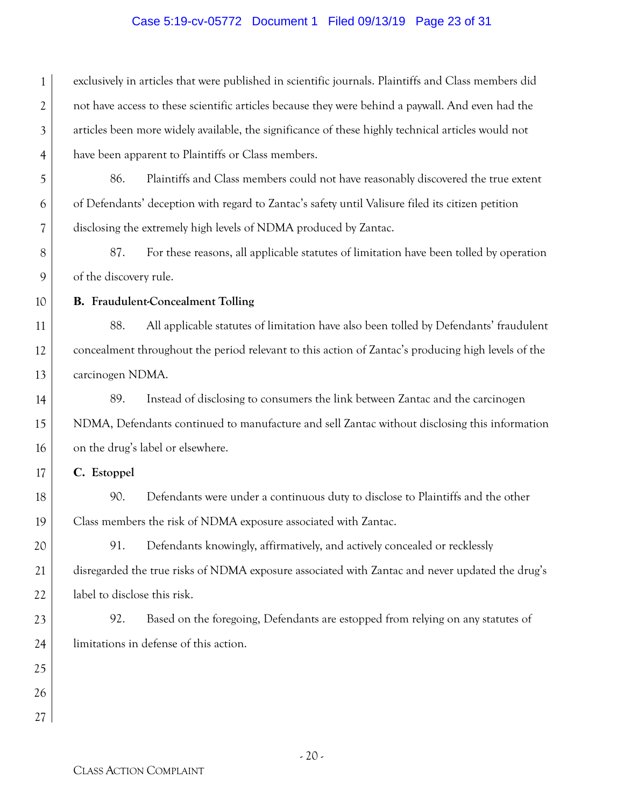#### Case 5:19-cv-05772 Document 1 Filed 09/13/19 Page 23 of 31

1 2 3 4 exclusively in articles that were published in scientific journals. Plaintiffs and Class members did not have access to these scientific articles because they were behind a paywall. And even had the articles been more widely available, the significance of these highly technical articles would not have been apparent to Plaintiffs or Class members.

86. Plaintiffs and Class members could not have reasonably discovered the true extent of Defendants' deception with regard to Zantac's safety until Valisure filed its citizen petition disclosing the extremely high levels of NDMA produced by Zantac.

8 9 87. For these reasons, all applicable statutes of limitation have been tolled by operation of the discovery rule.

10

11

12

13

14

15

16

17

18

19

20

21

22

5

6

7

#### **B. Fraudulent-Concealment Tolling**

88. All applicable statutes of limitation have also been tolled by Defendants' fraudulent concealment throughout the period relevant to this action of Zantac's producing high levels of the carcinogen NDMA.

89. Instead of disclosing to consumers the link between Zantac and the carcinogen NDMA, Defendants continued to manufacture and sell Zantac without disclosing this information on the drug's label or elsewhere.

**C. Estoppel** 

90. Defendants were under a continuous duty to disclose to Plaintiffs and the other Class members the risk of NDMA exposure associated with Zantac.

91. Defendants knowingly, affirmatively, and actively concealed or recklessly disregarded the true risks of NDMA exposure associated with Zantac and never updated the drug's label to disclose this risk.

23 24 92. Based on the foregoing, Defendants are estopped from relying on any statutes of limitations in defense of this action.

26 27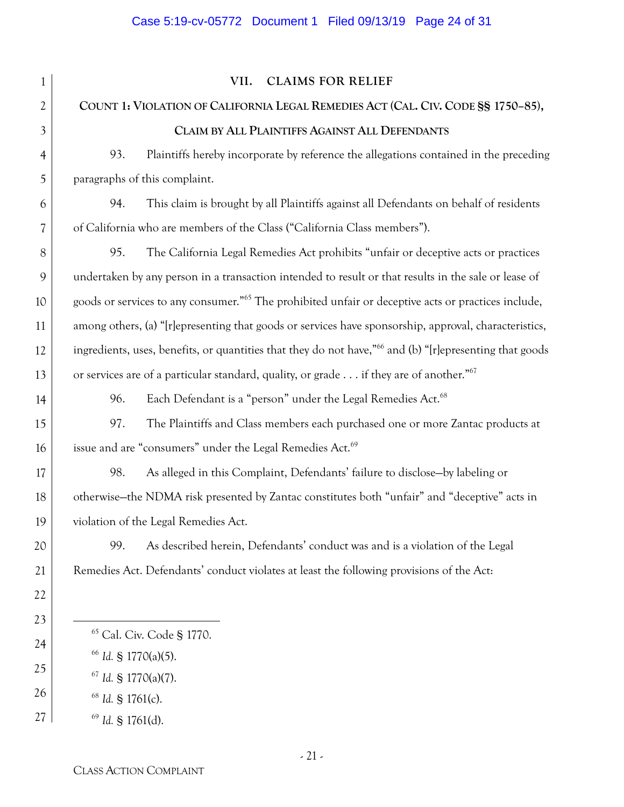| $\mathbf{1}$   | VII.<br><b>CLAIMS FOR RELIEF</b>                                                                                    |
|----------------|---------------------------------------------------------------------------------------------------------------------|
| 2              | COUNT 1: VIOLATION OF CALIFORNIA LEGAL REMEDIES ACT (CAL. CIV. CODE SS 1750-85),                                    |
| 3              | CLAIM BY ALL PLAINTIFFS AGAINST ALL DEFENDANTS                                                                      |
| $\overline{4}$ | 93.<br>Plaintiffs hereby incorporate by reference the allegations contained in the preceding                        |
| 5              | paragraphs of this complaint.                                                                                       |
| 6              | This claim is brought by all Plaintiffs against all Defendants on behalf of residents<br>94.                        |
| 7              | of California who are members of the Class ("California Class members").                                            |
| 8              | The California Legal Remedies Act prohibits "unfair or deceptive acts or practices<br>95.                           |
| 9              | undertaken by any person in a transaction intended to result or that results in the sale or lease of                |
| 10             | goods or services to any consumer." <sup>65</sup> The prohibited unfair or deceptive acts or practices include,     |
| 11             | among others, (a) "[r]epresenting that goods or services have sponsorship, approval, characteristics,               |
| 12             | ingredients, uses, benefits, or quantities that they do not have," <sup>66</sup> and (b) "[r]epresenting that goods |
| 13             | or services are of a particular standard, quality, or grade if they are of another." <sup>67</sup>                  |
| 14             | Each Defendant is a "person" under the Legal Remedies Act. <sup>68</sup><br>96.                                     |
| 15             | The Plaintiffs and Class members each purchased one or more Zantac products at<br>97.                               |
| 16             | issue and are "consumers" under the Legal Remedies Act. <sup>69</sup>                                               |
| 17             | As alleged in this Complaint, Defendants' failure to disclose-by labeling or<br>98.                                 |
| 18             | otherwise-the NDMA risk presented by Zantac constitutes both "unfair" and "deceptive" acts in                       |
| 19             | violation of the Legal Remedies Act.                                                                                |
| 20             | As described herein, Defendants' conduct was and is a violation of the Legal<br>99.                                 |
| 21             | Remedies Act. Defendants' conduct violates at least the following provisions of the Act:                            |
| 22             |                                                                                                                     |
| 23             |                                                                                                                     |
| 24             | <sup>65</sup> Cal. Civ. Code § 1770.                                                                                |
| 25             | <sup>66</sup> Id. § 1770(a)(5).<br>$67$ <i>Id.</i> § 1770(a)(7).                                                    |
| 26             | $68$ Id. § 1761(c).                                                                                                 |
| 27             | $69$ <i>Id.</i> § 1761(d).                                                                                          |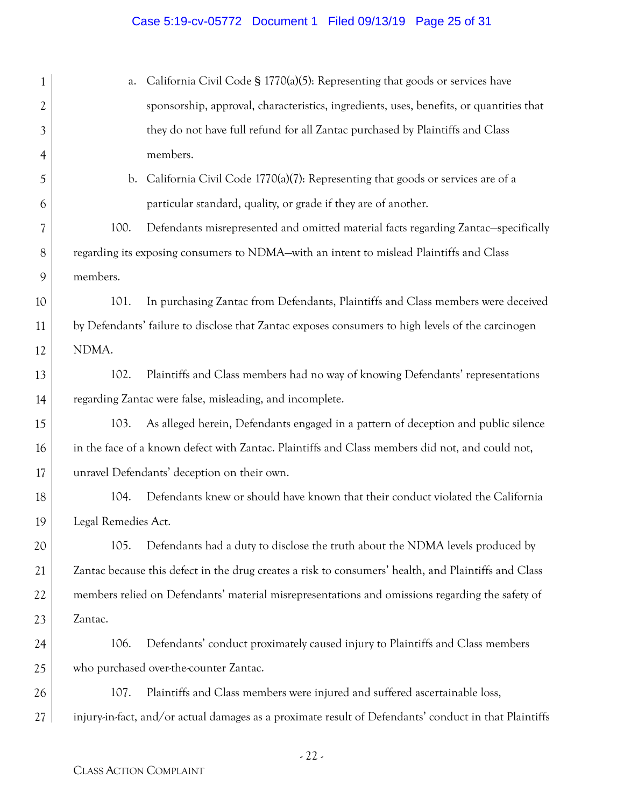# Case 5:19-cv-05772 Document 1 Filed 09/13/19 Page 25 of 31

| 1  | California Civil Code § 1770(a)(5): Representing that goods or services have<br>a.                    |
|----|-------------------------------------------------------------------------------------------------------|
| 2  | sponsorship, approval, characteristics, ingredients, uses, benefits, or quantities that               |
| 3  | they do not have full refund for all Zantac purchased by Plaintiffs and Class                         |
| 4  | members.                                                                                              |
| 5  | California Civil Code 1770(a)(7): Representing that goods or services are of a<br>$\mathbf{b}$ .      |
| 6  | particular standard, quality, or grade if they are of another.                                        |
| 7  | 100.<br>Defendants misrepresented and omitted material facts regarding Zantac-specifically            |
| 8  | regarding its exposing consumers to NDMA-with an intent to mislead Plaintiffs and Class               |
| 9  | members.                                                                                              |
| 10 | In purchasing Zantac from Defendants, Plaintiffs and Class members were deceived<br>101.              |
| 11 | by Defendants' failure to disclose that Zantac exposes consumers to high levels of the carcinogen     |
| 12 | NDMA.                                                                                                 |
| 13 | 102.<br>Plaintiffs and Class members had no way of knowing Defendants' representations                |
| 14 | regarding Zantac were false, misleading, and incomplete.                                              |
| 15 | As alleged herein, Defendants engaged in a pattern of deception and public silence<br>103.            |
| 16 | in the face of a known defect with Zantac. Plaintiffs and Class members did not, and could not,       |
| 17 | unravel Defendants' deception on their own.                                                           |
| 18 | Defendants knew or should have known that their conduct violated the California<br>104.               |
| 19 | Legal Remedies Act.                                                                                   |
| 20 | 105.<br>Defendants had a duty to disclose the truth about the NDMA levels produced by                 |
| 21 | Zantac because this defect in the drug creates a risk to consumers' health, and Plaintiffs and Class  |
| 22 | members relied on Defendants' material misrepresentations and omissions regarding the safety of       |
| 23 | Zantac.                                                                                               |
| 24 | 106.<br>Defendants' conduct proximately caused injury to Plaintiffs and Class members                 |
| 25 | who purchased over-the-counter Zantac.                                                                |
| 26 | 107.<br>Plaintiffs and Class members were injured and suffered ascertainable loss,                    |
| 27 | injury-in-fact, and/or actual damages as a proximate result of Defendants' conduct in that Plaintiffs |
|    |                                                                                                       |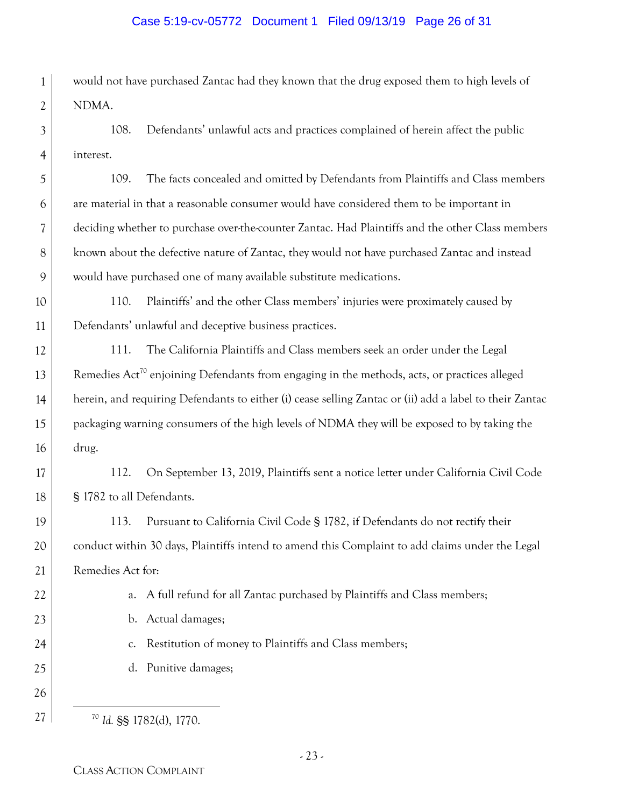#### Case 5:19-cv-05772 Document 1 Filed 09/13/19 Page 26 of 31

1 2 would not have purchased Zantac had they known that the drug exposed them to high levels of NDMA.

3 4 108. Defendants' unlawful acts and practices complained of herein affect the public interest.

5 6 7 8 9 109. The facts concealed and omitted by Defendants from Plaintiffs and Class members are material in that a reasonable consumer would have considered them to be important in deciding whether to purchase over-the-counter Zantac. Had Plaintiffs and the other Class members known about the defective nature of Zantac, they would not have purchased Zantac and instead would have purchased one of many available substitute medications.

10 11 110. Plaintiffs' and the other Class members' injuries were proximately caused by Defendants' unlawful and deceptive business practices.

12 13 14 15 16 111. The California Plaintiffs and Class members seek an order under the Legal Remedies Act<sup>70</sup> enjoining Defendants from engaging in the methods, acts, or practices alleged herein, and requiring Defendants to either (i) cease selling Zantac or (ii) add a label to their Zantac packaging warning consumers of the high levels of NDMA they will be exposed to by taking the drug.

17 18 112. On September 13, 2019, Plaintiffs sent a notice letter under California Civil Code § 1782 to all Defendants.

19 20 21 113. Pursuant to California Civil Code § 1782, if Defendants do not rectify their conduct within 30 days, Plaintiffs intend to amend this Complaint to add claims under the Legal Remedies Act for:

a. A full refund for all Zantac purchased by Plaintiffs and Class members;

b. Actual damages;

c. Restitution of money to Plaintiffs and Class members;

d. Punitive damages;

26

27

22

23

24

25

70 *Id.* §§ 1782(d), 1770.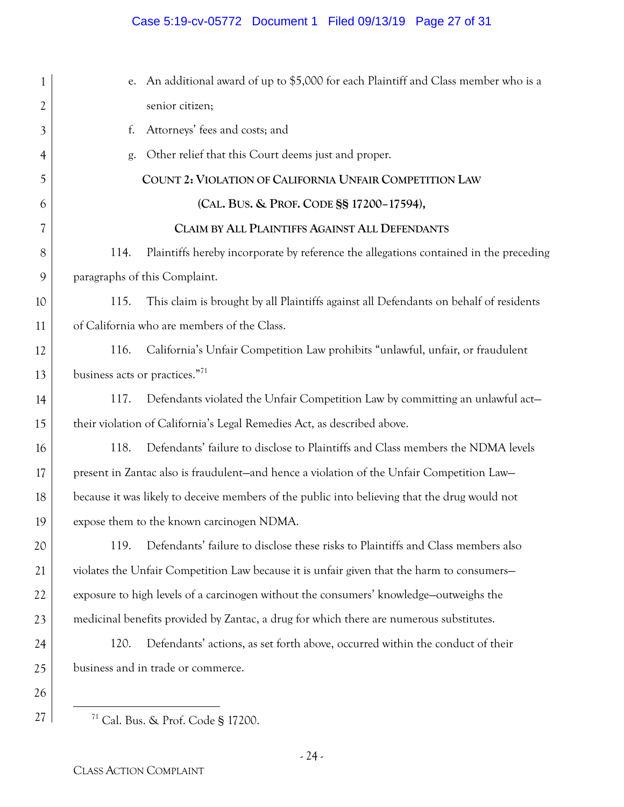## Case 5:19-cv-05772 Document 1 Filed 09/13/19 Page 27 of 31

| 1              | e. An additional award of up to \$5,000 for each Plaintiff and Class member who is a          |
|----------------|-----------------------------------------------------------------------------------------------|
| $\overline{2}$ | senior citizen;                                                                               |
| 3              | Attorneys' fees and costs; and<br>f.                                                          |
| 4              | Other relief that this Court deems just and proper.<br>g.                                     |
| 5              | COUNT 2: VIOLATION OF CALIFORNIA UNFAIR COMPETITION LAW                                       |
| 6              | (CAL. BUS. & PROF. CODE §§ 17200-17594),                                                      |
| 7              | CLAIM BY ALL PLAINTIFFS AGAINST ALL DEFENDANTS                                                |
| 8              | Plaintiffs hereby incorporate by reference the allegations contained in the preceding<br>114. |
| 9              | paragraphs of this Complaint.                                                                 |
| 10             | This claim is brought by all Plaintiffs against all Defendants on behalf of residents<br>115. |
| 11             | of California who are members of the Class.                                                   |
| 12             | California's Unfair Competition Law prohibits "unlawful, unfair, or fraudulent<br>116.        |
| 13             | business acts or practices." <sup>71</sup>                                                    |
| 14             | Defendants violated the Unfair Competition Law by committing an unlawful act-<br>117.         |
| 15             | their violation of California's Legal Remedies Act, as described above.                       |
| 16             | 118.<br>Defendants' failure to disclose to Plaintiffs and Class members the NDMA levels       |
| 17             | present in Zantac also is fraudulent-and hence a violation of the Unfair Competition Law-     |
| 18             | because it was likely to deceive members of the public into believing that the drug would not |
| 19             | expose them to the known carcinogen NDMA.                                                     |
| 20             | Defendants' failure to disclose these risks to Plaintiffs and Class members also<br>119.      |
| 21             | violates the Unfair Competition Law because it is unfair given that the harm to consumers-    |
| 22             | exposure to high levels of a carcinogen without the consumers' knowledge-outweighs the        |
| 23             | medicinal benefits provided by Zantac, a drug for which there are numerous substitutes.       |
| 24             | Defendants' actions, as set forth above, occurred within the conduct of their<br>120.         |
| 25             | business and in trade or commerce.                                                            |
| 26             |                                                                                               |
| 27             | <sup>71</sup> Cal. Bus. & Prof. Code § 17200.                                                 |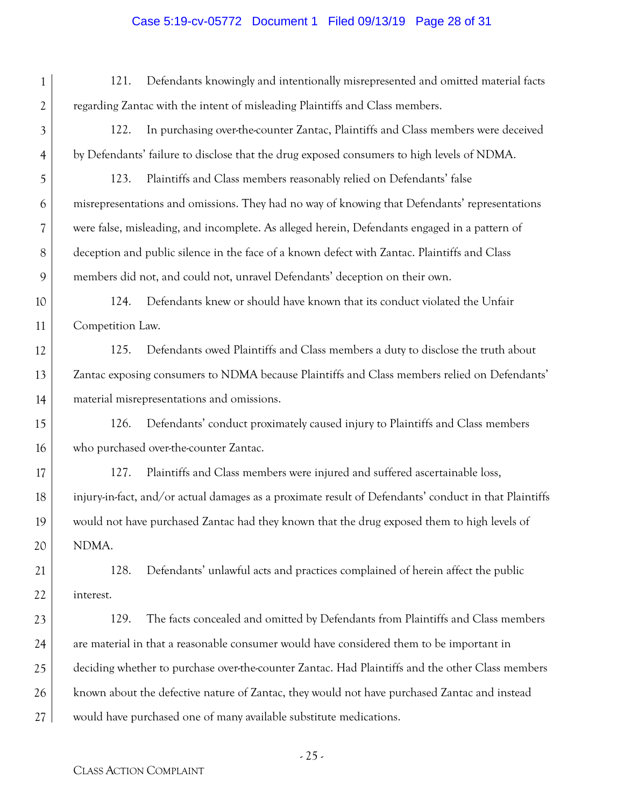# Case 5:19-cv-05772 Document 1 Filed 09/13/19 Page 28 of 31

| 1              | Defendants knowingly and intentionally misrepresented and omitted material facts<br>121.              |  |
|----------------|-------------------------------------------------------------------------------------------------------|--|
| $\overline{2}$ | regarding Zantac with the intent of misleading Plaintiffs and Class members.                          |  |
| 3              | In purchasing over-the-counter Zantac, Plaintiffs and Class members were deceived<br>122.             |  |
| $\overline{4}$ | by Defendants' failure to disclose that the drug exposed consumers to high levels of NDMA.            |  |
| 5              | 123.<br>Plaintiffs and Class members reasonably relied on Defendants' false                           |  |
| 6              | misrepresentations and omissions. They had no way of knowing that Defendants' representations         |  |
| 7              | were false, misleading, and incomplete. As alleged herein, Defendants engaged in a pattern of         |  |
| 8              | deception and public silence in the face of a known defect with Zantac. Plaintiffs and Class          |  |
| 9              | members did not, and could not, unravel Defendants' deception on their own.                           |  |
| 10             | Defendants knew or should have known that its conduct violated the Unfair<br>124.                     |  |
| 11             | Competition Law.                                                                                      |  |
| 12             | 125.<br>Defendants owed Plaintiffs and Class members a duty to disclose the truth about               |  |
| 13             | Zantac exposing consumers to NDMA because Plaintiffs and Class members relied on Defendants'          |  |
| 14             | material misrepresentations and omissions.                                                            |  |
| 15             | 126.<br>Defendants' conduct proximately caused injury to Plaintiffs and Class members                 |  |
| 16             | who purchased over-the-counter Zantac.                                                                |  |
| 17             | Plaintiffs and Class members were injured and suffered ascertainable loss,<br>127.                    |  |
| 18             | injury-in-fact, and/or actual damages as a proximate result of Defendants' conduct in that Plaintiffs |  |
| 19             | would not have purchased Zantac had they known that the drug exposed them to high levels of           |  |
| 20             | NDMA.                                                                                                 |  |
| 21             | 128.<br>Defendants' unlawful acts and practices complained of herein affect the public                |  |
| 22             | interest.                                                                                             |  |
| 23             | The facts concealed and omitted by Defendants from Plaintiffs and Class members<br>129.               |  |
| 24             | are material in that a reasonable consumer would have considered them to be important in              |  |
| 25             | deciding whether to purchase over-the-counter Zantac. Had Plaintiffs and the other Class members      |  |
| 26             | known about the defective nature of Zantac, they would not have purchased Zantac and instead          |  |
| 27             | would have purchased one of many available substitute medications.                                    |  |
|                |                                                                                                       |  |

- 25 -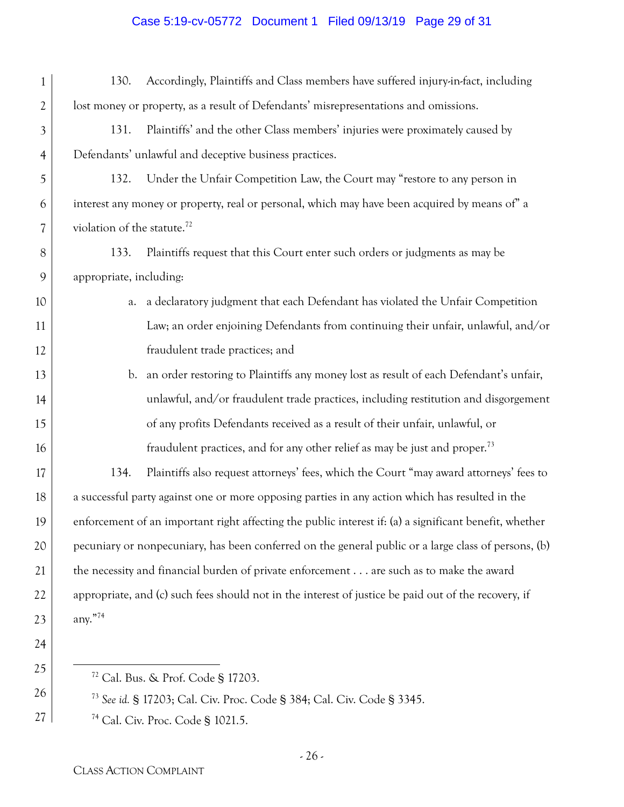### Case 5:19-cv-05772 Document 1 Filed 09/13/19 Page 29 of 31

| 1              | 130.<br>Accordingly, Plaintiffs and Class members have suffered injury-in-fact, including               |  |  |
|----------------|---------------------------------------------------------------------------------------------------------|--|--|
| $\overline{2}$ | lost money or property, as a result of Defendants' misrepresentations and omissions.                    |  |  |
| 3              | Plaintiffs' and the other Class members' injuries were proximately caused by<br>131.                    |  |  |
| 4              | Defendants' unlawful and deceptive business practices.                                                  |  |  |
| 5              | Under the Unfair Competition Law, the Court may "restore to any person in<br>132.                       |  |  |
| 6              | interest any money or property, real or personal, which may have been acquired by means of" a           |  |  |
| 7              | violation of the statute. <sup>72</sup>                                                                 |  |  |
| 8              | 133.<br>Plaintiffs request that this Court enter such orders or judgments as may be                     |  |  |
| 9              | appropriate, including:                                                                                 |  |  |
| 10             | a declaratory judgment that each Defendant has violated the Unfair Competition<br>a.                    |  |  |
| 11             | Law; an order enjoining Defendants from continuing their unfair, unlawful, and/or                       |  |  |
| 12             | fraudulent trade practices; and                                                                         |  |  |
| 13             | an order restoring to Plaintiffs any money lost as result of each Defendant's unfair,<br>$\mathbf{b}$ . |  |  |
| 14             | unlawful, and/or fraudulent trade practices, including restitution and disgorgement                     |  |  |
| 15             | of any profits Defendants received as a result of their unfair, unlawful, or                            |  |  |
| 16             | fraudulent practices, and for any other relief as may be just and proper. <sup>73</sup>                 |  |  |
| 17             | Plaintiffs also request attorneys' fees, which the Court "may award attorneys' fees to<br>134.          |  |  |
| 18             | a successful party against one or more opposing parties in any action which has resulted in the         |  |  |
| 19             | enforcement of an important right affecting the public interest if: (a) a significant benefit, whether  |  |  |
| 20             | pecuniary or nonpecuniary, has been conferred on the general public or a large class of persons, (b)    |  |  |
| 21             | the necessity and financial burden of private enforcement are such as to make the award                 |  |  |
| 22             | appropriate, and (c) such fees should not in the interest of justice be paid out of the recovery, if    |  |  |
| 23             | any."74                                                                                                 |  |  |
| 24             |                                                                                                         |  |  |
| 25             | <sup>72</sup> Cal. Bus. & Prof. Code § 17203.                                                           |  |  |
| 26             | $^{73}$ S $_{11}$ S 17202 C <sub>2</sub> 1 C in Drea Ced <sub>2</sub> S 204 C <sub>2</sub> 1 C in       |  |  |

<sup>73</sup> *See id.* § 17203; Cal. Civ. Proc. Code § 384; Cal. Civ. Code § 3345.

74 Cal. Civ. Proc. Code § 1021.5.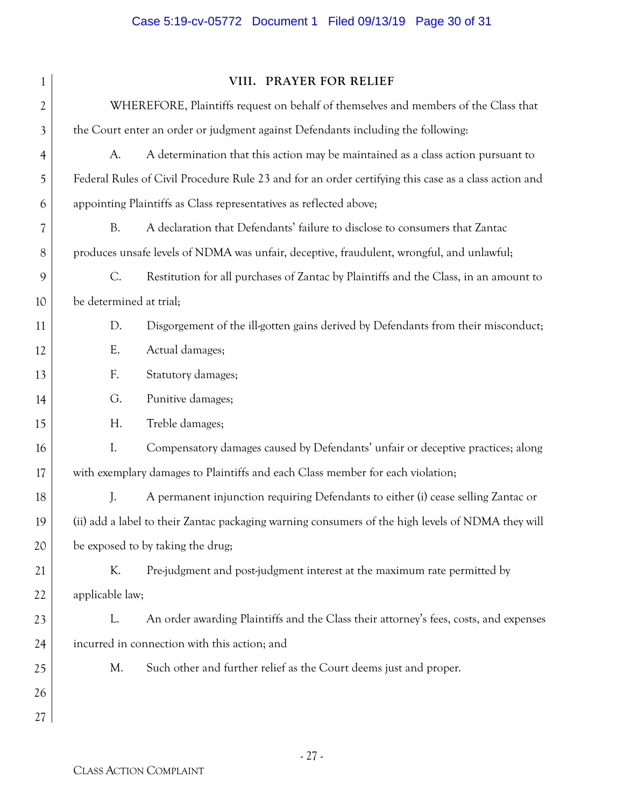# Case 5:19-cv-05772 Document 1 Filed 09/13/19 Page 30 of 31

| 1  |                                                                                  | VIII. PRAYER FOR RELIEF                                                                              |  |
|----|----------------------------------------------------------------------------------|------------------------------------------------------------------------------------------------------|--|
| 2  |                                                                                  | WHEREFORE, Plaintiffs request on behalf of themselves and members of the Class that                  |  |
| 3  | the Court enter an order or judgment against Defendants including the following: |                                                                                                      |  |
| 4  | A.                                                                               | A determination that this action may be maintained as a class action pursuant to                     |  |
| 5  |                                                                                  | Federal Rules of Civil Procedure Rule 23 and for an order certifying this case as a class action and |  |
| 6  | appointing Plaintiffs as Class representatives as reflected above;               |                                                                                                      |  |
| 7  | <b>B.</b>                                                                        | A declaration that Defendants' failure to disclose to consumers that Zantac                          |  |
| 8  |                                                                                  | produces unsafe levels of NDMA was unfair, deceptive, fraudulent, wrongful, and unlawful;            |  |
| 9  | C.                                                                               | Restitution for all purchases of Zantac by Plaintiffs and the Class, in an amount to                 |  |
| 10 | be determined at trial;                                                          |                                                                                                      |  |
| 11 | D.                                                                               | Disgorgement of the ill-gotten gains derived by Defendants from their misconduct;                    |  |
| 12 | Ε.                                                                               | Actual damages;                                                                                      |  |
| 13 | F.                                                                               | Statutory damages;                                                                                   |  |
| 14 | G.                                                                               | Punitive damages;                                                                                    |  |
| 15 | Н.                                                                               | Treble damages;                                                                                      |  |
| 16 | $\mathbf{I}$ .                                                                   | Compensatory damages caused by Defendants' unfair or deceptive practices; along                      |  |
| 17 | with exemplary damages to Plaintiffs and each Class member for each violation;   |                                                                                                      |  |
| 18 | J.                                                                               | A permanent injunction requiring Defendants to either (i) cease selling Zantac or                    |  |
| 19 |                                                                                  | (ii) add a label to their Zantac packaging warning consumers of the high levels of NDMA they will    |  |
| 20 |                                                                                  | be exposed to by taking the drug;                                                                    |  |
| 21 | K.                                                                               | Pre-judgment and post-judgment interest at the maximum rate permitted by                             |  |
| 22 | applicable law;                                                                  |                                                                                                      |  |
| 23 | L.                                                                               | An order awarding Plaintiffs and the Class their attorney's fees, costs, and expenses                |  |
| 24 |                                                                                  | incurred in connection with this action; and                                                         |  |
| 25 | M.                                                                               | Such other and further relief as the Court deems just and proper.                                    |  |
| 26 |                                                                                  |                                                                                                      |  |
| 27 |                                                                                  |                                                                                                      |  |